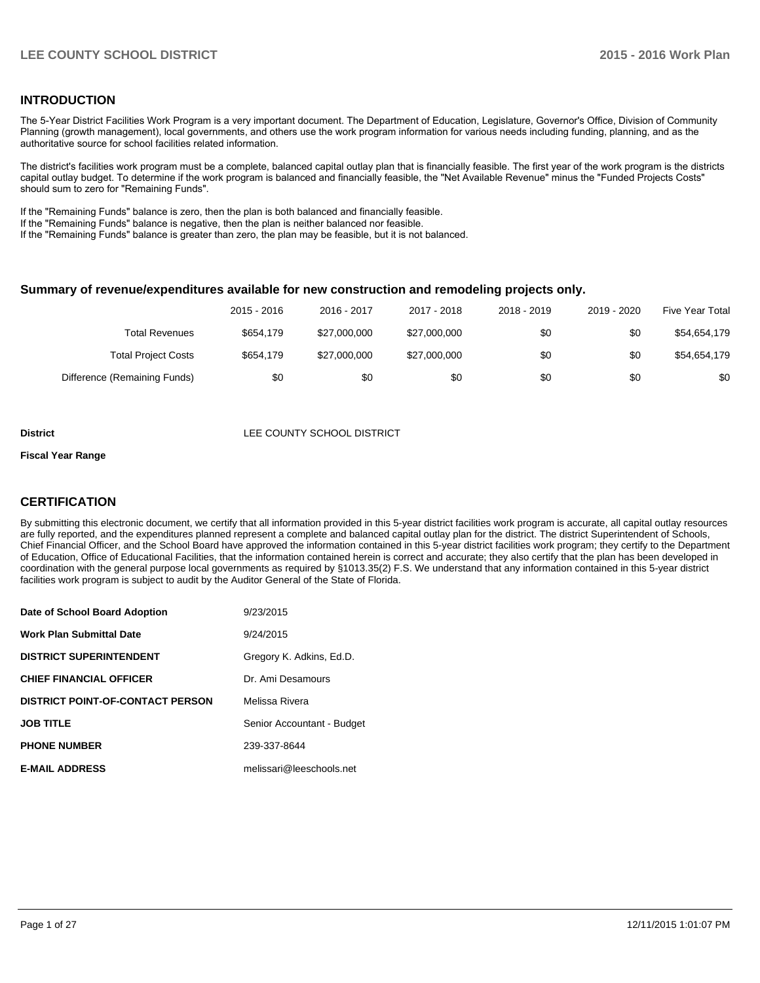### **INTRODUCTION**

The 5-Year District Facilities Work Program is a very important document. The Department of Education, Legislature, Governor's Office, Division of Community Planning (growth management), local governments, and others use the work program information for various needs including funding, planning, and as the authoritative source for school facilities related information.

The district's facilities work program must be a complete, balanced capital outlay plan that is financially feasible. The first year of the work program is the districts capital outlay budget. To determine if the work program is balanced and financially feasible, the "Net Available Revenue" minus the "Funded Projects Costs" should sum to zero for "Remaining Funds".

If the "Remaining Funds" balance is zero, then the plan is both balanced and financially feasible.

If the "Remaining Funds" balance is negative, then the plan is neither balanced nor feasible.

If the "Remaining Funds" balance is greater than zero, the plan may be feasible, but it is not balanced.

#### **Summary of revenue/expenditures available for new construction and remodeling projects only.**

| Five Year Total | 2019 - 2020 | 2018 - 2019 | 2017 - 2018  | 2016 - 2017  | 2015 - 2016 |                              |
|-----------------|-------------|-------------|--------------|--------------|-------------|------------------------------|
| \$54,654,179    | \$0         | \$0         | \$27,000,000 | \$27,000,000 | \$654.179   | <b>Total Revenues</b>        |
| \$54,654,179    | \$0         | \$0         | \$27,000,000 | \$27,000,000 | \$654.179   | <b>Total Project Costs</b>   |
| \$0             | \$0         | \$0         | \$0          | \$0          | \$0         | Difference (Remaining Funds) |

#### **District District LEE COUNTY SCHOOL DISTRICT**

#### **Fiscal Year Range**

### **CERTIFICATION**

By submitting this electronic document, we certify that all information provided in this 5-year district facilities work program is accurate, all capital outlay resources are fully reported, and the expenditures planned represent a complete and balanced capital outlay plan for the district. The district Superintendent of Schools, Chief Financial Officer, and the School Board have approved the information contained in this 5-year district facilities work program; they certify to the Department of Education, Office of Educational Facilities, that the information contained herein is correct and accurate; they also certify that the plan has been developed in coordination with the general purpose local governments as required by §1013.35(2) F.S. We understand that any information contained in this 5-year district facilities work program is subject to audit by the Auditor General of the State of Florida.

| Date of School Board Adoption           | 9/23/2015                  |
|-----------------------------------------|----------------------------|
| <b>Work Plan Submittal Date</b>         | 9/24/2015                  |
| <b>DISTRICT SUPERINTENDENT</b>          | Gregory K. Adkins, Ed.D.   |
| <b>CHIEF FINANCIAL OFFICER</b>          | Dr. Ami Desamours          |
| <b>DISTRICT POINT-OF-CONTACT PERSON</b> | Melissa Rivera             |
| <b>JOB TITLE</b>                        | Senior Accountant - Budget |
| <b>PHONE NUMBER</b>                     | 239-337-8644               |
| <b>E-MAIL ADDRESS</b>                   | melissari@leeschools.net   |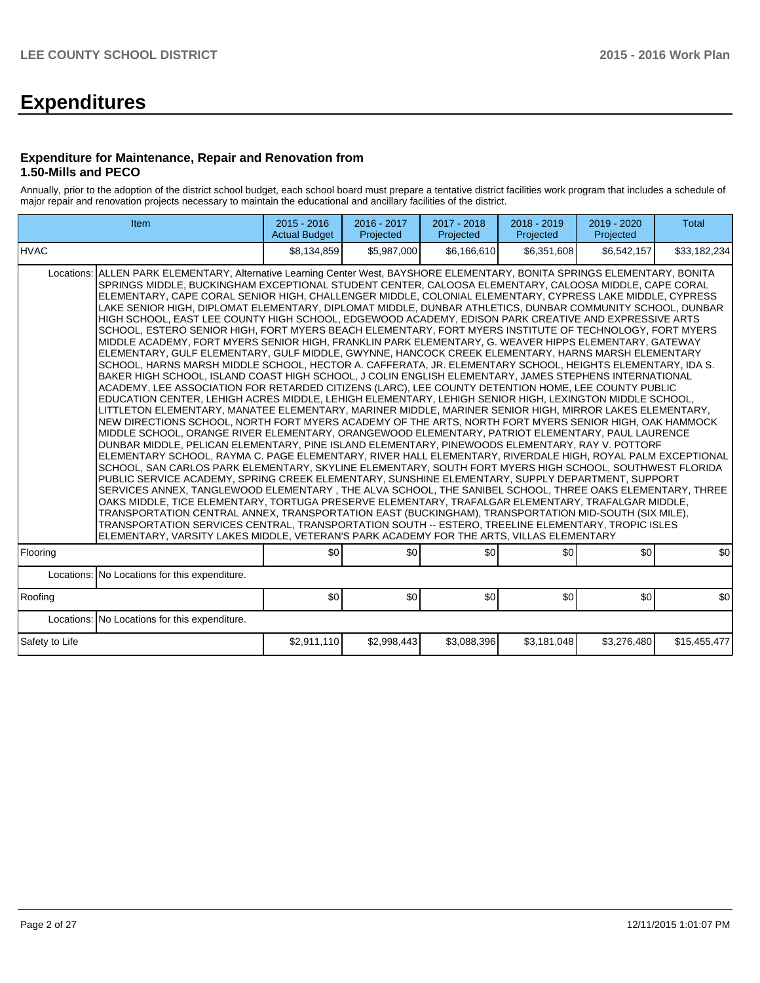# **Expenditures**

#### **Expenditure for Maintenance, Repair and Renovation from 1.50-Mills and PECO**

Annually, prior to the adoption of the district school budget, each school board must prepare a tentative district facilities work program that includes a schedule of major repair and renovation projects necessary to maintain the educational and ancillary facilities of the district.

| Item                                                                                                                                                                                                                                                                                                                                                                                                                                                                                                                                                                                                                                                                                                                                                                                                                                                                                                                                                                                                                                                                                                                                                                                                                                                                                                                                                                                                                                                                                                                                                                                                                                                                                                                                                                                                                                                                                                                                                                                                                                                                                                                                                                                                                                                                                                                                                                                                                                                                                                                                                                                                                       | $2015 - 2016$<br><b>Actual Budget</b> | 2016 - 2017<br>Projected | 2017 - 2018<br>Projected | 2018 - 2019<br>Projected | 2019 - 2020<br>Projected | <b>Total</b> |  |  |  |  |
|----------------------------------------------------------------------------------------------------------------------------------------------------------------------------------------------------------------------------------------------------------------------------------------------------------------------------------------------------------------------------------------------------------------------------------------------------------------------------------------------------------------------------------------------------------------------------------------------------------------------------------------------------------------------------------------------------------------------------------------------------------------------------------------------------------------------------------------------------------------------------------------------------------------------------------------------------------------------------------------------------------------------------------------------------------------------------------------------------------------------------------------------------------------------------------------------------------------------------------------------------------------------------------------------------------------------------------------------------------------------------------------------------------------------------------------------------------------------------------------------------------------------------------------------------------------------------------------------------------------------------------------------------------------------------------------------------------------------------------------------------------------------------------------------------------------------------------------------------------------------------------------------------------------------------------------------------------------------------------------------------------------------------------------------------------------------------------------------------------------------------------------------------------------------------------------------------------------------------------------------------------------------------------------------------------------------------------------------------------------------------------------------------------------------------------------------------------------------------------------------------------------------------------------------------------------------------------------------------------------------------|---------------------------------------|--------------------------|--------------------------|--------------------------|--------------------------|--------------|--|--|--|--|
| <b>HVAC</b>                                                                                                                                                                                                                                                                                                                                                                                                                                                                                                                                                                                                                                                                                                                                                                                                                                                                                                                                                                                                                                                                                                                                                                                                                                                                                                                                                                                                                                                                                                                                                                                                                                                                                                                                                                                                                                                                                                                                                                                                                                                                                                                                                                                                                                                                                                                                                                                                                                                                                                                                                                                                                | \$8,134,859                           | \$5,987,000              | \$6,166,610              | \$6,351,608              | \$6,542,157              | \$33,182,234 |  |  |  |  |
| Locations: ALLEN PARK ELEMENTARY, Alternative Learning Center West, BAYSHORE ELEMENTARY, BONITA SPRINGS ELEMENTARY, BONITA<br>SPRINGS MIDDLE, BUCKINGHAM EXCEPTIONAL STUDENT CENTER, CALOOSA ELEMENTARY, CALOOSA MIDDLE, CAPE CORAL<br>ELEMENTARY, CAPE CORAL SENIOR HIGH, CHALLENGER MIDDLE, COLONIAL ELEMENTARY, CYPRESS LAKE MIDDLE, CYPRESS<br>LAKE SENIOR HIGH, DIPLOMAT ELEMENTARY, DIPLOMAT MIDDLE, DUNBAR ATHLETICS, DUNBAR COMMUNITY SCHOOL, DUNBAR<br>HIGH SCHOOL, EAST LEE COUNTY HIGH SCHOOL, EDGEWOOD ACADEMY, EDISON PARK CREATIVE AND EXPRESSIVE ARTS<br>SCHOOL, ESTERO SENIOR HIGH, FORT MYERS BEACH ELEMENTARY, FORT MYERS INSTITUTE OF TECHNOLOGY, FORT MYERS<br>MIDDLE ACADEMY, FORT MYERS SENIOR HIGH, FRANKLIN PARK ELEMENTARY, G. WEAVER HIPPS ELEMENTARY, GATEWAY<br>ELEMENTARY, GULF ELEMENTARY, GULF MIDDLE, GWYNNE, HANCOCK CREEK ELEMENTARY, HARNS MARSH ELEMENTARY<br>SCHOOL, HARNS MARSH MIDDLE SCHOOL, HECTOR A. CAFFERATA, JR. ELEMENTARY SCHOOL, HEIGHTS ELEMENTARY, IDA S.<br>BAKER HIGH SCHOOL. ISLAND COAST HIGH SCHOOL. J COLIN ENGLISH ELEMENTARY. JAMES STEPHENS INTERNATIONAL<br>ACADEMY, LEE ASSOCIATION FOR RETARDED CITIZENS (LARC), LEE COUNTY DETENTION HOME, LEE COUNTY PUBLIC<br>EDUCATION CENTER. LEHIGH ACRES MIDDLE, LEHIGH ELEMENTARY, LEHIGH SENIOR HIGH, LEXINGTON MIDDLE SCHOOL.<br>LITTLETON ELEMENTARY, MANATEE ELEMENTARY, MARINER MIDDLE, MARINER SENIOR HIGH, MIRROR LAKES ELEMENTARY,<br>NEW DIRECTIONS SCHOOL, NORTH FORT MYERS ACADEMY OF THE ARTS, NORTH FORT MYERS SENIOR HIGH, OAK HAMMOCK<br>MIDDLE SCHOOL, ORANGE RIVER ELEMENTARY, ORANGEWOOD ELEMENTARY, PATRIOT ELEMENTARY, PAUL LAURENCE<br>DUNBAR MIDDLE, PELICAN ELEMENTARY, PINE ISLAND ELEMENTARY, PINEWOODS ELEMENTARY, RAY V. POTTORF<br>ELEMENTARY SCHOOL, RAYMA C. PAGE ELEMENTARY, RIVER HALL ELEMENTARY, RIVERDALE HIGH, ROYAL PALM EXCEPTIONAL<br>SCHOOL, SAN CARLOS PARK ELEMENTARY, SKYLINE ELEMENTARY, SOUTH FORT MYERS HIGH SCHOOL, SOUTHWEST FLORIDA<br>PUBLIC SERVICE ACADEMY, SPRING CREEK ELEMENTARY, SUNSHINE ELEMENTARY, SUPPLY DEPARTMENT, SUPPORT<br>SERVICES ANNEX, TANGLEWOOD ELEMENTARY, THE ALVA SCHOOL, THE SANIBEL SCHOOL, THREE OAKS ELEMENTARY, THREE<br>OAKS MIDDLE, TICE ELEMENTARY, TORTUGA PRESERVE ELEMENTARY, TRAFALGAR ELEMENTARY, TRAFALGAR MIDDLE,<br>TRANSPORTATION CENTRAL ANNEX, TRANSPORTATION EAST (BUCKINGHAM), TRANSPORTATION MID-SOUTH (SIX MILE),<br>TRANSPORTATION SERVICES CENTRAL, TRANSPORTATION SOUTH -- ESTERO, TREELINE ELEMENTARY, TROPIC ISLES<br>ELEMENTARY, VARSITY LAKES MIDDLE, VETERAN'S PARK ACADEMY FOR THE ARTS, VILLAS ELEMENTARY |                                       |                          |                          |                          |                          |              |  |  |  |  |
| Flooring                                                                                                                                                                                                                                                                                                                                                                                                                                                                                                                                                                                                                                                                                                                                                                                                                                                                                                                                                                                                                                                                                                                                                                                                                                                                                                                                                                                                                                                                                                                                                                                                                                                                                                                                                                                                                                                                                                                                                                                                                                                                                                                                                                                                                                                                                                                                                                                                                                                                                                                                                                                                                   | \$0                                   | \$0                      | \$0                      | \$0                      | \$0                      | \$0          |  |  |  |  |
| Locations: No Locations for this expenditure.                                                                                                                                                                                                                                                                                                                                                                                                                                                                                                                                                                                                                                                                                                                                                                                                                                                                                                                                                                                                                                                                                                                                                                                                                                                                                                                                                                                                                                                                                                                                                                                                                                                                                                                                                                                                                                                                                                                                                                                                                                                                                                                                                                                                                                                                                                                                                                                                                                                                                                                                                                              |                                       |                          |                          |                          |                          |              |  |  |  |  |
| Roofing                                                                                                                                                                                                                                                                                                                                                                                                                                                                                                                                                                                                                                                                                                                                                                                                                                                                                                                                                                                                                                                                                                                                                                                                                                                                                                                                                                                                                                                                                                                                                                                                                                                                                                                                                                                                                                                                                                                                                                                                                                                                                                                                                                                                                                                                                                                                                                                                                                                                                                                                                                                                                    | \$0                                   | \$0                      | \$0                      | \$0                      | \$0                      | \$0          |  |  |  |  |
| Locations: No Locations for this expenditure.                                                                                                                                                                                                                                                                                                                                                                                                                                                                                                                                                                                                                                                                                                                                                                                                                                                                                                                                                                                                                                                                                                                                                                                                                                                                                                                                                                                                                                                                                                                                                                                                                                                                                                                                                                                                                                                                                                                                                                                                                                                                                                                                                                                                                                                                                                                                                                                                                                                                                                                                                                              |                                       |                          |                          |                          |                          |              |  |  |  |  |
| Safety to Life                                                                                                                                                                                                                                                                                                                                                                                                                                                                                                                                                                                                                                                                                                                                                                                                                                                                                                                                                                                                                                                                                                                                                                                                                                                                                                                                                                                                                                                                                                                                                                                                                                                                                                                                                                                                                                                                                                                                                                                                                                                                                                                                                                                                                                                                                                                                                                                                                                                                                                                                                                                                             | \$2,911,110                           | \$2,998,443              | \$3,088,396              | \$3,181,048              | \$3,276,480              | \$15,455,477 |  |  |  |  |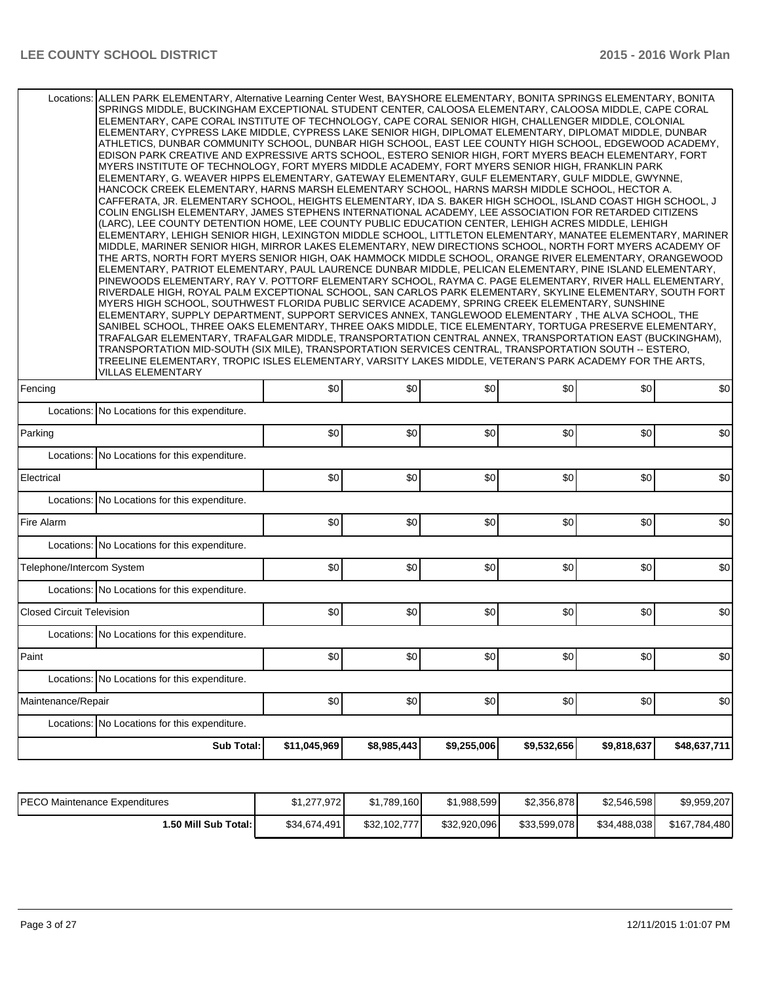| Locations: ALLEN PARK ELEMENTARY, Alternative Learning Center West, BAYSHORE ELEMENTARY, BONITA SPRINGS ELEMENTARY, BONITA | SPRINGS MIDDLE, BUCKINGHAM EXCEPTIONAL STUDENT CENTER, CALOOSA ELEMENTARY, CALOOSA MIDDLE, CAPE CORAL<br>ELEMENTARY, CAPE CORAL INSTITUTE OF TECHNOLOGY, CAPE CORAL SENIOR HIGH, CHALLENGER MIDDLE, COLONIAL<br>ELEMENTARY, CYPRESS LAKE MIDDLE, CYPRESS LAKE SENIOR HIGH, DIPLOMAT ELEMENTARY, DIPLOMAT MIDDLE, DUNBAR<br>ATHLETICS, DUNBAR COMMUNITY SCHOOL, DUNBAR HIGH SCHOOL, EAST LEE COUNTY HIGH SCHOOL, EDGEWOOD ACADEMY,<br>EDISON PARK CREATIVE AND EXPRESSIVE ARTS SCHOOL, ESTERO SENIOR HIGH, FORT MYERS BEACH ELEMENTARY, FORT<br>MYERS INSTITUTE OF TECHNOLOGY, FORT MYERS MIDDLE ACADEMY, FORT MYERS SENIOR HIGH, FRANKLIN PARK<br>ELEMENTARY, G. WEAVER HIPPS ELEMENTARY, GATEWAY ELEMENTARY, GULF ELEMENTARY, GULF MIDDLE, GWYNNE,<br>HANCOCK CREEK ELEMENTARY, HARNS MARSH ELEMENTARY SCHOOL, HARNS MARSH MIDDLE SCHOOL, HECTOR A.<br>CAFFERATA, JR. ELEMENTARY SCHOOL, HEIGHTS ELEMENTARY, IDA S. BAKER HIGH SCHOOL, ISLAND COAST HIGH SCHOOL, J<br>COLIN ENGLISH ELEMENTARY, JAMES STEPHENS INTERNATIONAL ACADEMY, LEE ASSOCIATION FOR RETARDED CITIZENS<br>(LARC). LEE COUNTY DETENTION HOME. LEE COUNTY PUBLIC EDUCATION CENTER. LEHIGH ACRES MIDDLE. LEHIGH<br>ELEMENTARY, LEHIGH SENIOR HIGH, LEXINGTON MIDDLE SCHOOL, LITTLETON ELEMENTARY, MANATEE ELEMENTARY, MARINER<br>MIDDLE, MARINER SENIOR HIGH, MIRROR LAKES ELEMENTARY, NEW DIRECTIONS SCHOOL, NORTH FORT MYERS ACADEMY OF<br>THE ARTS, NORTH FORT MYERS SENIOR HIGH, OAK HAMMOCK MIDDLE SCHOOL, ORANGE RIVER ELEMENTARY, ORANGEWOOD<br>ELEMENTARY, PATRIOT ELEMENTARY, PAUL LAURENCE DUNBAR MIDDLE, PELICAN ELEMENTARY, PINE ISLAND ELEMENTARY,<br>PINEWOODS ELEMENTARY, RAY V. POTTORF ELEMENTARY SCHOOL, RAYMA C. PAGE ELEMENTARY, RIVER HALL ELEMENTARY,<br>RIVERDALE HIGH, ROYAL PALM EXCEPTIONAL SCHOOL, SAN CARLOS PARK ELEMENTARY, SKYLINE ELEMENTARY, SOUTH FORT<br>MYERS HIGH SCHOOL, SOUTHWEST FLORIDA PUBLIC SERVICE ACADEMY, SPRING CREEK ELEMENTARY, SUNSHINE<br>ELEMENTARY, SUPPLY DEPARTMENT, SUPPORT SERVICES ANNEX, TANGLEWOOD ELEMENTARY , THE ALVA SCHOOL, THE<br>SANIBEL SCHOOL, THREE OAKS ELEMENTARY, THREE OAKS MIDDLE, TICE ELEMENTARY, TORTUGA PRESERVE ELEMENTARY,<br>TRAFALGAR ELEMENTARY, TRAFALGAR MIDDLE, TRANSPORTATION CENTRAL ANNEX, TRANSPORTATION EAST (BUCKINGHAM),<br>TRANSPORTATION MID-SOUTH (SIX MILE), TRANSPORTATION SERVICES CENTRAL, TRANSPORTATION SOUTH -- ESTERO,<br>TREELINE ELEMENTARY, TROPIC ISLES ELEMENTARY, VARSITY LAKES MIDDLE, VETERAN'S PARK ACADEMY FOR THE ARTS,<br>VILLAS ELEMENTARY |              |             |             |             |             |              |  |  |  |  |
|----------------------------------------------------------------------------------------------------------------------------|--------------------------------------------------------------------------------------------------------------------------------------------------------------------------------------------------------------------------------------------------------------------------------------------------------------------------------------------------------------------------------------------------------------------------------------------------------------------------------------------------------------------------------------------------------------------------------------------------------------------------------------------------------------------------------------------------------------------------------------------------------------------------------------------------------------------------------------------------------------------------------------------------------------------------------------------------------------------------------------------------------------------------------------------------------------------------------------------------------------------------------------------------------------------------------------------------------------------------------------------------------------------------------------------------------------------------------------------------------------------------------------------------------------------------------------------------------------------------------------------------------------------------------------------------------------------------------------------------------------------------------------------------------------------------------------------------------------------------------------------------------------------------------------------------------------------------------------------------------------------------------------------------------------------------------------------------------------------------------------------------------------------------------------------------------------------------------------------------------------------------------------------------------------------------------------------------------------------------------------------------------------------------------------------------------------------------------------------------------------------------------------------------------------------------------------------------------------------------------------------------------------------------------------|--------------|-------------|-------------|-------------|-------------|--------------|--|--|--|--|
| Fencing                                                                                                                    |                                                                                                                                                                                                                                                                                                                                                                                                                                                                                                                                                                                                                                                                                                                                                                                                                                                                                                                                                                                                                                                                                                                                                                                                                                                                                                                                                                                                                                                                                                                                                                                                                                                                                                                                                                                                                                                                                                                                                                                                                                                                                                                                                                                                                                                                                                                                                                                                                                                                                                                                      | \$0          | \$0         | 30          | \$0         | \$0         | \$0          |  |  |  |  |
|                                                                                                                            | Locations: No Locations for this expenditure.                                                                                                                                                                                                                                                                                                                                                                                                                                                                                                                                                                                                                                                                                                                                                                                                                                                                                                                                                                                                                                                                                                                                                                                                                                                                                                                                                                                                                                                                                                                                                                                                                                                                                                                                                                                                                                                                                                                                                                                                                                                                                                                                                                                                                                                                                                                                                                                                                                                                                        |              |             |             |             |             |              |  |  |  |  |
| Parking                                                                                                                    |                                                                                                                                                                                                                                                                                                                                                                                                                                                                                                                                                                                                                                                                                                                                                                                                                                                                                                                                                                                                                                                                                                                                                                                                                                                                                                                                                                                                                                                                                                                                                                                                                                                                                                                                                                                                                                                                                                                                                                                                                                                                                                                                                                                                                                                                                                                                                                                                                                                                                                                                      | \$0          | \$0         | \$0         | \$0         | \$0         | \$0          |  |  |  |  |
|                                                                                                                            | Locations: No Locations for this expenditure.                                                                                                                                                                                                                                                                                                                                                                                                                                                                                                                                                                                                                                                                                                                                                                                                                                                                                                                                                                                                                                                                                                                                                                                                                                                                                                                                                                                                                                                                                                                                                                                                                                                                                                                                                                                                                                                                                                                                                                                                                                                                                                                                                                                                                                                                                                                                                                                                                                                                                        |              |             |             |             |             |              |  |  |  |  |
| Electrical                                                                                                                 |                                                                                                                                                                                                                                                                                                                                                                                                                                                                                                                                                                                                                                                                                                                                                                                                                                                                                                                                                                                                                                                                                                                                                                                                                                                                                                                                                                                                                                                                                                                                                                                                                                                                                                                                                                                                                                                                                                                                                                                                                                                                                                                                                                                                                                                                                                                                                                                                                                                                                                                                      | \$0          | \$0         | \$0         | \$0         | \$0         | \$0          |  |  |  |  |
|                                                                                                                            | Locations: No Locations for this expenditure.                                                                                                                                                                                                                                                                                                                                                                                                                                                                                                                                                                                                                                                                                                                                                                                                                                                                                                                                                                                                                                                                                                                                                                                                                                                                                                                                                                                                                                                                                                                                                                                                                                                                                                                                                                                                                                                                                                                                                                                                                                                                                                                                                                                                                                                                                                                                                                                                                                                                                        |              |             |             |             |             |              |  |  |  |  |
| Fire Alarm                                                                                                                 |                                                                                                                                                                                                                                                                                                                                                                                                                                                                                                                                                                                                                                                                                                                                                                                                                                                                                                                                                                                                                                                                                                                                                                                                                                                                                                                                                                                                                                                                                                                                                                                                                                                                                                                                                                                                                                                                                                                                                                                                                                                                                                                                                                                                                                                                                                                                                                                                                                                                                                                                      | \$0          | \$0         | 30          | \$0         | \$0         | \$0          |  |  |  |  |
|                                                                                                                            | Locations: No Locations for this expenditure.                                                                                                                                                                                                                                                                                                                                                                                                                                                                                                                                                                                                                                                                                                                                                                                                                                                                                                                                                                                                                                                                                                                                                                                                                                                                                                                                                                                                                                                                                                                                                                                                                                                                                                                                                                                                                                                                                                                                                                                                                                                                                                                                                                                                                                                                                                                                                                                                                                                                                        |              |             |             |             |             |              |  |  |  |  |
| Telephone/Intercom System                                                                                                  |                                                                                                                                                                                                                                                                                                                                                                                                                                                                                                                                                                                                                                                                                                                                                                                                                                                                                                                                                                                                                                                                                                                                                                                                                                                                                                                                                                                                                                                                                                                                                                                                                                                                                                                                                                                                                                                                                                                                                                                                                                                                                                                                                                                                                                                                                                                                                                                                                                                                                                                                      | \$0          | \$0         | 30          | \$0         | \$0         | \$0          |  |  |  |  |
|                                                                                                                            | Locations: No Locations for this expenditure.                                                                                                                                                                                                                                                                                                                                                                                                                                                                                                                                                                                                                                                                                                                                                                                                                                                                                                                                                                                                                                                                                                                                                                                                                                                                                                                                                                                                                                                                                                                                                                                                                                                                                                                                                                                                                                                                                                                                                                                                                                                                                                                                                                                                                                                                                                                                                                                                                                                                                        |              |             |             |             |             |              |  |  |  |  |
| <b>Closed Circuit Television</b>                                                                                           |                                                                                                                                                                                                                                                                                                                                                                                                                                                                                                                                                                                                                                                                                                                                                                                                                                                                                                                                                                                                                                                                                                                                                                                                                                                                                                                                                                                                                                                                                                                                                                                                                                                                                                                                                                                                                                                                                                                                                                                                                                                                                                                                                                                                                                                                                                                                                                                                                                                                                                                                      | \$0          | \$0         | 30          | \$0         | \$0         | \$0          |  |  |  |  |
|                                                                                                                            | Locations: No Locations for this expenditure.                                                                                                                                                                                                                                                                                                                                                                                                                                                                                                                                                                                                                                                                                                                                                                                                                                                                                                                                                                                                                                                                                                                                                                                                                                                                                                                                                                                                                                                                                                                                                                                                                                                                                                                                                                                                                                                                                                                                                                                                                                                                                                                                                                                                                                                                                                                                                                                                                                                                                        |              |             |             |             |             |              |  |  |  |  |
| Paint                                                                                                                      |                                                                                                                                                                                                                                                                                                                                                                                                                                                                                                                                                                                                                                                                                                                                                                                                                                                                                                                                                                                                                                                                                                                                                                                                                                                                                                                                                                                                                                                                                                                                                                                                                                                                                                                                                                                                                                                                                                                                                                                                                                                                                                                                                                                                                                                                                                                                                                                                                                                                                                                                      | \$0          | \$0         | \$0         | \$0         | \$0         | \$0          |  |  |  |  |
|                                                                                                                            | Locations: No Locations for this expenditure.                                                                                                                                                                                                                                                                                                                                                                                                                                                                                                                                                                                                                                                                                                                                                                                                                                                                                                                                                                                                                                                                                                                                                                                                                                                                                                                                                                                                                                                                                                                                                                                                                                                                                                                                                                                                                                                                                                                                                                                                                                                                                                                                                                                                                                                                                                                                                                                                                                                                                        |              |             |             |             |             |              |  |  |  |  |
| Maintenance/Repair                                                                                                         |                                                                                                                                                                                                                                                                                                                                                                                                                                                                                                                                                                                                                                                                                                                                                                                                                                                                                                                                                                                                                                                                                                                                                                                                                                                                                                                                                                                                                                                                                                                                                                                                                                                                                                                                                                                                                                                                                                                                                                                                                                                                                                                                                                                                                                                                                                                                                                                                                                                                                                                                      | \$0          | \$0         | \$0         | \$0         | \$0         | \$0          |  |  |  |  |
|                                                                                                                            | Locations: No Locations for this expenditure.                                                                                                                                                                                                                                                                                                                                                                                                                                                                                                                                                                                                                                                                                                                                                                                                                                                                                                                                                                                                                                                                                                                                                                                                                                                                                                                                                                                                                                                                                                                                                                                                                                                                                                                                                                                                                                                                                                                                                                                                                                                                                                                                                                                                                                                                                                                                                                                                                                                                                        |              |             |             |             |             |              |  |  |  |  |
|                                                                                                                            | Sub Total:                                                                                                                                                                                                                                                                                                                                                                                                                                                                                                                                                                                                                                                                                                                                                                                                                                                                                                                                                                                                                                                                                                                                                                                                                                                                                                                                                                                                                                                                                                                                                                                                                                                                                                                                                                                                                                                                                                                                                                                                                                                                                                                                                                                                                                                                                                                                                                                                                                                                                                                           | \$11,045,969 | \$8,985,443 | \$9,255,006 | \$9,532,656 | \$9,818,637 | \$48,637,711 |  |  |  |  |
|                                                                                                                            |                                                                                                                                                                                                                                                                                                                                                                                                                                                                                                                                                                                                                                                                                                                                                                                                                                                                                                                                                                                                                                                                                                                                                                                                                                                                                                                                                                                                                                                                                                                                                                                                                                                                                                                                                                                                                                                                                                                                                                                                                                                                                                                                                                                                                                                                                                                                                                                                                                                                                                                                      |              |             |             |             |             |              |  |  |  |  |

| <b>IPECO Maintenance Expenditures</b> | \$1,277,972  | \$1,789,160  | \$1,988,599  | \$2,356,878  | \$2,546,598  | \$9,959,207   |
|---------------------------------------|--------------|--------------|--------------|--------------|--------------|---------------|
| i.50 Mill Sub Total: I                | \$34,674,491 | \$32,102,777 | \$32,920,096 | \$33,599,078 | \$34,488,038 | \$167,784,480 |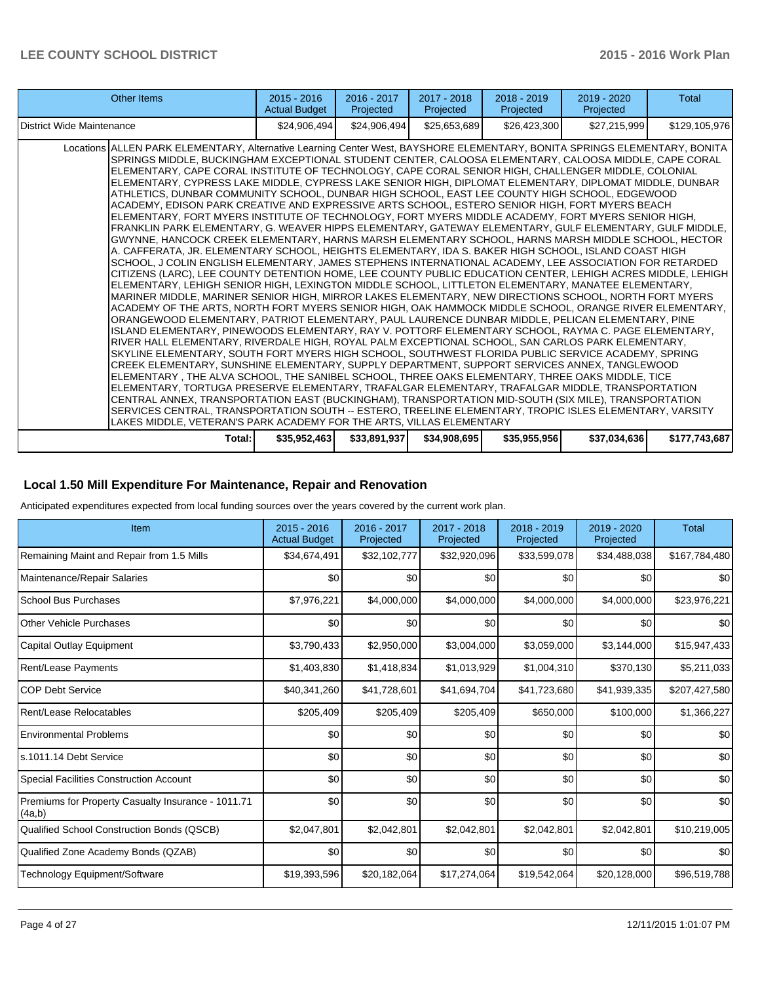| Other Items                                                                                                                                                                                                                                                                                                                                                                                                                                                                                                                                                                                                                                                                                                                                                                                                                                                                                                                                                                                                                                                                                                                                                                                                                                                                                                                                                                                                                                                                                                                                                                                                                                                                                                                                                                                                                                                                                                                                                                                                                                                                                                                                                                                                                                                                                                                                                                                                                                                                                                                                                                                                                                                        | $2015 - 2016$<br><b>Actual Budget</b> | $2016 - 2017$<br>Projected | $2017 - 2018$<br>Projected | $2018 - 2019$<br>Projected | 2019 - 2020<br>Projected | <b>Total</b>  |
|--------------------------------------------------------------------------------------------------------------------------------------------------------------------------------------------------------------------------------------------------------------------------------------------------------------------------------------------------------------------------------------------------------------------------------------------------------------------------------------------------------------------------------------------------------------------------------------------------------------------------------------------------------------------------------------------------------------------------------------------------------------------------------------------------------------------------------------------------------------------------------------------------------------------------------------------------------------------------------------------------------------------------------------------------------------------------------------------------------------------------------------------------------------------------------------------------------------------------------------------------------------------------------------------------------------------------------------------------------------------------------------------------------------------------------------------------------------------------------------------------------------------------------------------------------------------------------------------------------------------------------------------------------------------------------------------------------------------------------------------------------------------------------------------------------------------------------------------------------------------------------------------------------------------------------------------------------------------------------------------------------------------------------------------------------------------------------------------------------------------------------------------------------------------------------------------------------------------------------------------------------------------------------------------------------------------------------------------------------------------------------------------------------------------------------------------------------------------------------------------------------------------------------------------------------------------------------------------------------------------------------------------------------------------|---------------------------------------|----------------------------|----------------------------|----------------------------|--------------------------|---------------|
| District Wide Maintenance                                                                                                                                                                                                                                                                                                                                                                                                                                                                                                                                                                                                                                                                                                                                                                                                                                                                                                                                                                                                                                                                                                                                                                                                                                                                                                                                                                                                                                                                                                                                                                                                                                                                                                                                                                                                                                                                                                                                                                                                                                                                                                                                                                                                                                                                                                                                                                                                                                                                                                                                                                                                                                          | \$24,906,494]                         | \$24,906,494               | \$25,653,689               | \$26,423,300               | \$27,215,999             | \$129,105,976 |
| Locations ALLEN PARK ELEMENTARY, Alternative Learning Center West, BAYSHORE ELEMENTARY, BONITA SPRINGS ELEMENTARY, BONITA<br>SPRINGS MIDDLE, BUCKINGHAM EXCEPTIONAL STUDENT CENTER, CALOOSA ELEMENTARY, CALOOSA MIDDLE, CAPE CORAL<br>ELEMENTARY, CAPE CORAL INSTITUTE OF TECHNOLOGY, CAPE CORAL SENIOR HIGH, CHALLENGER MIDDLE, COLONIAL<br>ELEMENTARY, CYPRESS LAKE MIDDLE, CYPRESS LAKE SENIOR HIGH, DIPLOMAT ELEMENTARY, DIPLOMAT MIDDLE, DUNBAR<br>ATHLETICS, DUNBAR COMMUNITY SCHOOL, DUNBAR HIGH SCHOOL, EAST LEE COUNTY HIGH SCHOOL, EDGEWOOD<br>ACADEMY, EDISON PARK CREATIVE AND EXPRESSIVE ARTS SCHOOL, ESTERO SENIOR HIGH, FORT MYERS BEACH<br>ELEMENTARY, FORT MYERS INSTITUTE OF TECHNOLOGY, FORT MYERS MIDDLE ACADEMY, FORT MYERS SENIOR HIGH,<br>FRANKLIN PARK ELEMENTARY, G. WEAVER HIPPS ELEMENTARY, GATEWAY ELEMENTARY, GULF ELEMENTARY, GULF MIDDLE,<br>GWYNNE, HANCOCK CREEK ELEMENTARY, HARNS MARSH ELEMENTARY SCHOOL, HARNS MARSH MIDDLE SCHOOL, HECTOR<br>A. CAFFERATA, JR. ELEMENTARY SCHOOL, HEIGHTS ELEMENTARY, IDA S. BAKER HIGH SCHOOL, ISLAND COAST HIGH<br>SCHOOL, J COLIN ENGLISH ELEMENTARY, JAMES STEPHENS INTERNATIONAL ACADEMY, LEE ASSOCIATION FOR RETARDED<br>CITIZENS (LARC), LEE COUNTY DETENTION HOME, LEE COUNTY PUBLIC EDUCATION CENTER, LEHIGH ACRES MIDDLE, LEHIGH  <br>ELEMENTARY, LEHIGH SENIOR HIGH, LEXINGTON MIDDLE SCHOOL, LITTLETON ELEMENTARY, MANATEE ELEMENTARY,<br>MARINER MIDDLE, MARINER SENIOR HIGH, MIRROR LAKES ELEMENTARY, NEW DIRECTIONS SCHOOL, NORTH FORT MYERS<br>ACADEMY OF THE ARTS, NORTH FORT MYERS SENIOR HIGH, OAK HAMMOCK MIDDLE SCHOOL, ORANGE RIVER ELEMENTARY,<br>ORANGEWOOD ELEMENTARY. PATRIOT ELEMENTARY. PAUL LAURENCE DUNBAR MIDDLE. PELICAN ELEMENTARY. PINE<br>ISLAND ELEMENTARY, PINEWOODS ELEMENTARY, RAY V. POTTORF ELEMENTARY SCHOOL, RAYMA C. PAGE ELEMENTARY,<br>RIVER HALL ELEMENTARY. RIVERDALE HIGH. ROYAL PALM EXCEPTIONAL SCHOOL. SAN CARLOS PARK ELEMENTARY.<br>SKYLINE ELEMENTARY, SOUTH FORT MYERS HIGH SCHOOL, SOUTHWEST FLORIDA PUBLIC SERVICE ACADEMY, SPRING<br>CREEK ELEMENTARY, SUNSHINE ELEMENTARY, SUPPLY DEPARTMENT, SUPPORT SERVICES ANNEX, TANGLEWOOD<br>ELEMENTARY, THE ALVA SCHOOL, THE SANIBEL SCHOOL, THREE OAKS ELEMENTARY, THREE OAKS MIDDLE, TICE<br>ELEMENTARY, TORTUGA PRESERVE ELEMENTARY, TRAFALGAR ELEMENTARY, TRAFALGAR MIDDLE, TRANSPORTATION<br>CENTRAL ANNEX, TRANSPORTATION EAST (BUCKINGHAM), TRANSPORTATION MID-SOUTH (SIX MILE), TRANSPORTATION<br>SERVICES CENTRAL, TRANSPORTATION SOUTH -- ESTERO, TREELINE ELEMENTARY, TROPIC ISLES ELEMENTARY, VARSITY<br>LAKES MIDDLE, VETERAN'S PARK ACADEMY FOR THE ARTS, VILLAS ELEMENTARY |                                       |                            |                            |                            |                          |               |
| Total: I                                                                                                                                                                                                                                                                                                                                                                                                                                                                                                                                                                                                                                                                                                                                                                                                                                                                                                                                                                                                                                                                                                                                                                                                                                                                                                                                                                                                                                                                                                                                                                                                                                                                                                                                                                                                                                                                                                                                                                                                                                                                                                                                                                                                                                                                                                                                                                                                                                                                                                                                                                                                                                                           | \$35,952,463                          | \$33,891,937               | \$34,908,695               | \$35,955,956               | \$37,034,636             | \$177,743,687 |

### **Local 1.50 Mill Expenditure For Maintenance, Repair and Renovation**

Anticipated expenditures expected from local funding sources over the years covered by the current work plan.

| Item                                                         | $2015 - 2016$<br><b>Actual Budget</b> | 2016 - 2017<br>Projected | 2017 - 2018<br>Projected | $2018 - 2019$<br>Projected | 2019 - 2020<br>Projected | <b>Total</b>  |
|--------------------------------------------------------------|---------------------------------------|--------------------------|--------------------------|----------------------------|--------------------------|---------------|
| Remaining Maint and Repair from 1.5 Mills                    | \$34,674,491                          | \$32,102,777             | \$32,920,096             | \$33,599,078               | \$34,488,038             | \$167,784,480 |
| Maintenance/Repair Salaries                                  | \$0                                   | \$0                      | \$0                      | \$0                        | \$0                      | \$0           |
| <b>School Bus Purchases</b>                                  | \$7,976,221                           | \$4,000,000              | \$4,000,000              | \$4,000,000                | \$4,000,000              | \$23,976,221  |
| Other Vehicle Purchases                                      | \$0                                   | \$0                      | \$0                      | \$0                        | \$0                      | \$0           |
| Capital Outlay Equipment                                     | \$3,790,433                           | \$2,950,000              | \$3,004,000              | \$3,059,000                | \$3,144,000              | \$15,947,433  |
| <b>Rent/Lease Payments</b>                                   | \$1,403,830                           | \$1,418,834              | \$1,013,929              | \$1,004,310                | \$370,130                | \$5,211,033   |
| <b>COP Debt Service</b>                                      | \$40,341,260                          | \$41,728,601             | \$41,694,704             | \$41,723,680               | \$41,939,335             | \$207,427,580 |
| Rent/Lease Relocatables                                      | \$205,409                             | \$205,409                | \$205,409                | \$650,000                  | \$100,000                | \$1,366,227   |
| <b>Environmental Problems</b>                                | \$0                                   | \$0                      | \$0                      | \$0                        | \$0                      | \$0           |
| ls.1011.14 Debt Service                                      | \$0                                   | \$0                      | \$0                      | \$0                        | \$0                      | \$0           |
| Special Facilities Construction Account                      | \$0                                   | \$0                      | \$0                      | \$0                        | \$0                      | \$0           |
| Premiums for Property Casualty Insurance - 1011.71<br>(4a,b) | \$0                                   | \$0                      | \$0                      | \$0                        | \$0                      | \$0           |
| Qualified School Construction Bonds (QSCB)                   | \$2,047,801                           | \$2,042,801              | \$2,042,801              | \$2,042,801                | \$2,042,801              | \$10,219,005  |
| Qualified Zone Academy Bonds (QZAB)                          | \$0                                   | \$0                      | \$0                      | \$0                        | \$0                      | \$0           |
| Technology Equipment/Software                                | \$19,393,596                          | \$20,182,064             | \$17,274,064             | \$19,542,064               | \$20,128,000             | \$96,519,788  |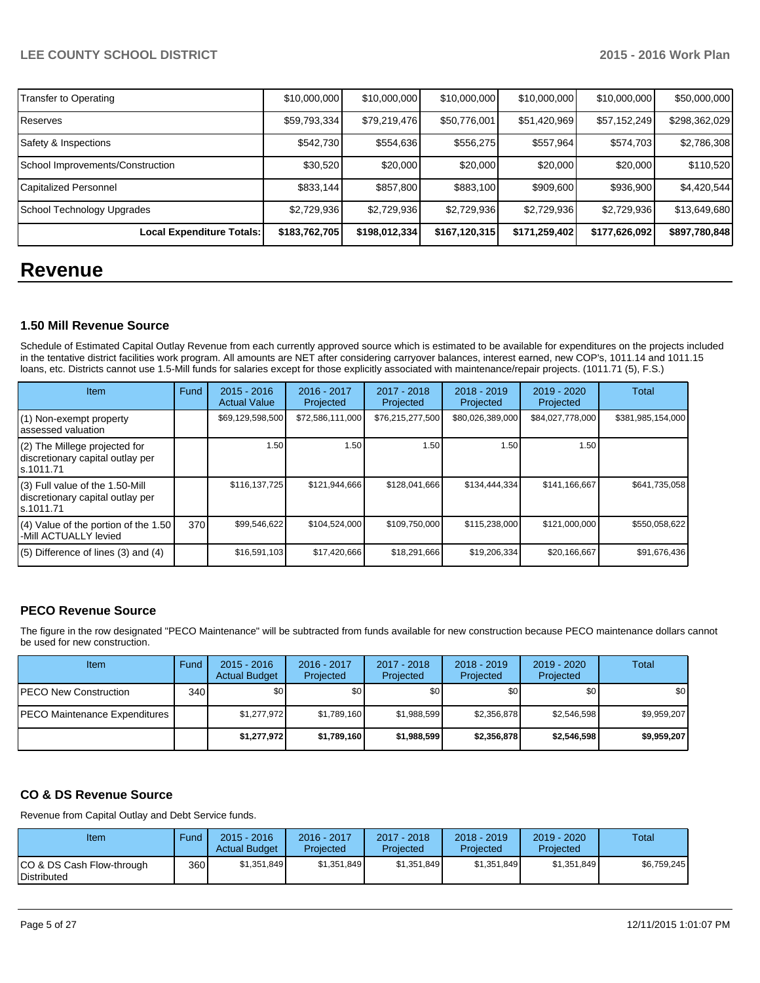| Transfer to Operating            | \$10,000,000  | \$10,000,000  | \$10,000,000  | \$10,000,000  | \$10,000,000  | \$50,000,000  |
|----------------------------------|---------------|---------------|---------------|---------------|---------------|---------------|
| Reserves                         | \$59,793,334  | \$79,219,476  | \$50,776,001  | \$51,420,969  | \$57,152,249  | \$298,362,029 |
| Safety & Inspections             | \$542,730     | \$554,636     | \$556,275     | \$557,964     | \$574,703     | \$2,786,308   |
| School Improvements/Construction | \$30,520      | \$20,000      | \$20,000      | \$20,000      | \$20,000      | \$110,520     |
| Capitalized Personnel            | \$833,144     | \$857,800     | \$883,100     | \$909,600     | \$936,900     | \$4,420,544   |
| School Technology Upgrades       | \$2,729,936   | \$2,729,936   | \$2,729,936   | \$2,729,936   | \$2,729,936   | \$13,649,680  |
| Local Expenditure Totals:        | \$183,762,705 | \$198,012,334 | \$167,120,315 | \$171,259,402 | \$177,626,092 | \$897,780,848 |

# **Revenue**

## **1.50 Mill Revenue Source**

Schedule of Estimated Capital Outlay Revenue from each currently approved source which is estimated to be available for expenditures on the projects included in the tentative district facilities work program. All amounts are NET after considering carryover balances, interest earned, new COP's, 1011.14 and 1011.15 loans, etc. Districts cannot use 1.5-Mill funds for salaries except for those explicitly associated with maintenance/repair projects. (1011.71 (5), F.S.)

| Item                                                                              | Fund | $2015 - 2016$<br><b>Actual Value</b> | $2016 - 2017$<br>Projected | 2017 - 2018<br>Projected | $2018 - 2019$<br>Projected | $2019 - 2020$<br>Projected | Total             |
|-----------------------------------------------------------------------------------|------|--------------------------------------|----------------------------|--------------------------|----------------------------|----------------------------|-------------------|
| (1) Non-exempt property<br>assessed valuation                                     |      | \$69,129,598,500                     | \$72,586,111,000           | \$76,215,277,500         | \$80,026,389,000           | \$84,027,778,000           | \$381,985,154,000 |
| (2) The Millege projected for<br>discretionary capital outlay per<br>ls.1011.71   |      | 1.50                                 | 1.50                       | 1.50                     | 1.50                       | 1.50                       |                   |
| (3) Full value of the 1.50-Mill<br>discretionary capital outlay per<br>ls.1011.71 |      | \$116,137,725                        | \$121,944,666              | \$128,041,666            | \$134,444,334              | \$141,166,667              | \$641,735,058     |
| $(4)$ Value of the portion of the 1.50<br>-Mill ACTUALLY levied                   | 370  | \$99,546,622                         | \$104,524,000              | \$109,750,000            | \$115,238,000              | \$121,000,000              | \$550,058,622     |
| $(5)$ Difference of lines $(3)$ and $(4)$                                         |      | \$16,591,103                         | \$17,420,666               | \$18,291,666             | \$19,206,334               | \$20,166,667               | \$91,676,436      |

# **PECO Revenue Source**

The figure in the row designated "PECO Maintenance" will be subtracted from funds available for new construction because PECO maintenance dollars cannot be used for new construction.

| Item                                 | Fund | $2015 - 2016$<br><b>Actual Budget</b> | $2016 - 2017$<br>Projected | 2017 - 2018<br>Projected | $2018 - 2019$<br>Projected | $2019 - 2020$<br>Projected | Total       |
|--------------------------------------|------|---------------------------------------|----------------------------|--------------------------|----------------------------|----------------------------|-------------|
| <b>IPECO New Construction</b>        | 340  | \$0                                   | \$0 I                      | \$0                      | \$0                        | \$0                        | \$0         |
| <b>PECO Maintenance Expenditures</b> |      | \$1,277,972                           | \$1,789,160                | \$1,988,599              | \$2,356,878                | \$2,546,598                | \$9,959,207 |
|                                      |      | \$1,277,972                           | \$1,789,160                | \$1,988,599              | \$2,356,878                | \$2,546,598                | \$9,959,207 |

## **CO & DS Revenue Source**

Revenue from Capital Outlay and Debt Service funds.

| Item                                      | Fund | $2015 - 2016$<br><b>Actual Budget</b> | 2016 - 2017<br>Projected | 2017 - 2018<br>Projected | $2018 - 2019$<br>Projected | $2019 - 2020$<br>Projected | <b>Total</b> |
|-------------------------------------------|------|---------------------------------------|--------------------------|--------------------------|----------------------------|----------------------------|--------------|
| ICO & DS Cash Flow-through<br>Distributed | 360  | \$1,351,849                           | \$1,351,849              | \$1.351.849              | \$1,351,849                | \$1,351,849                | \$6,759,245  |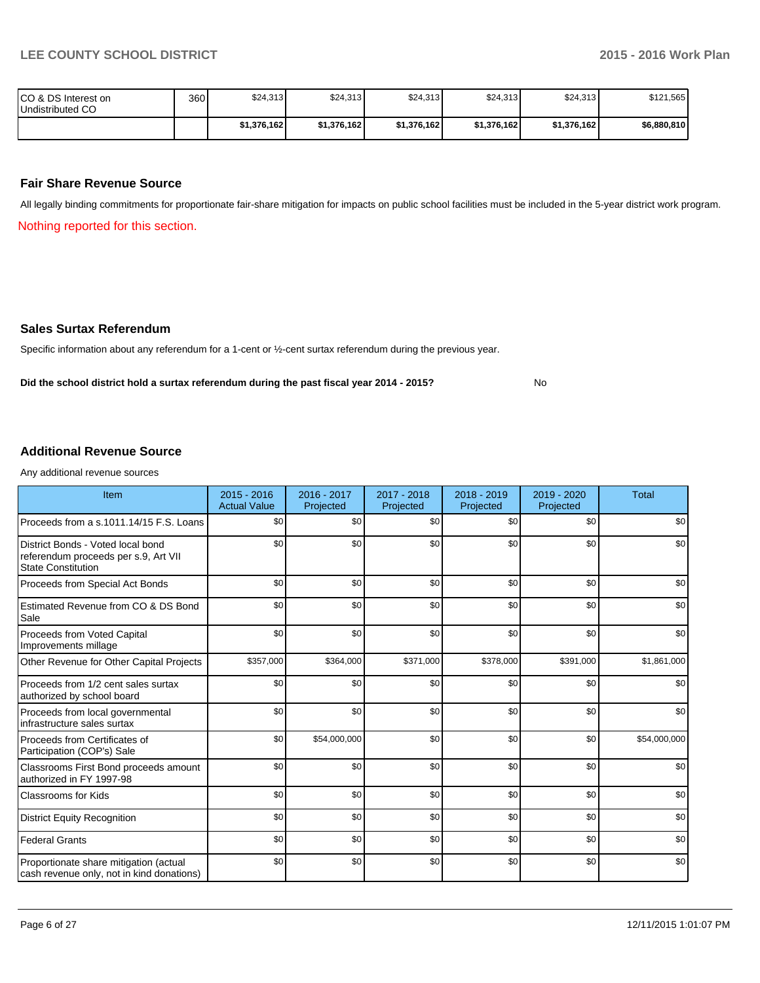No

| ICO & DS Interest on<br>Undistributed CO | 360 | \$24,313    | \$24,313    | \$24,313    | \$24,313    | \$24,313    | \$121,565   |
|------------------------------------------|-----|-------------|-------------|-------------|-------------|-------------|-------------|
|                                          |     | \$1,376,162 | \$1,376,162 | \$1.376.162 | \$1,376,162 | \$1,376,162 | \$6,880,810 |

#### **Fair Share Revenue Source**

All legally binding commitments for proportionate fair-share mitigation for impacts on public school facilities must be included in the 5-year district work program.

Nothing reported for this section.

#### **Sales Surtax Referendum**

Specific information about any referendum for a 1-cent or ½-cent surtax referendum during the previous year.

**Did the school district hold a surtax referendum during the past fiscal year 2014 - 2015?**

#### **Additional Revenue Source**

Any additional revenue sources

| Item                                                                                                   | $2015 - 2016$<br><b>Actual Value</b> | $2016 - 2017$<br>Projected | 2017 - 2018<br>Projected | 2018 - 2019<br>Projected | $2019 - 2020$<br>Projected | <b>Total</b> |
|--------------------------------------------------------------------------------------------------------|--------------------------------------|----------------------------|--------------------------|--------------------------|----------------------------|--------------|
| Proceeds from a s.1011.14/15 F.S. Loans                                                                | \$0                                  | \$0                        | \$0                      | \$0                      | \$0                        | \$0          |
| District Bonds - Voted local bond<br>referendum proceeds per s.9, Art VII<br><b>State Constitution</b> | \$0                                  | \$0                        | \$0                      | \$0                      | \$0                        | \$0          |
| Proceeds from Special Act Bonds                                                                        | \$0                                  | \$0                        | \$0                      | \$0                      | \$0                        | \$0          |
| Estimated Revenue from CO & DS Bond<br>Sale                                                            | \$0                                  | \$0                        | \$0                      | \$0                      | \$0                        | \$0          |
| Proceeds from Voted Capital<br>Improvements millage                                                    | \$0                                  | \$0                        | \$0                      | \$0                      | \$0                        | \$0          |
| Other Revenue for Other Capital Projects                                                               | \$357,000                            | \$364,000                  | \$371,000                | \$378,000                | \$391,000                  | \$1,861,000  |
| Proceeds from 1/2 cent sales surtax<br>authorized by school board                                      | \$0                                  | \$0                        | \$0                      | \$0                      | \$0                        | \$0          |
| Proceeds from local governmental<br>infrastructure sales surtax                                        | \$0                                  | \$0                        | \$0                      | \$0                      | \$0                        | \$0          |
| Proceeds from Certificates of<br>Participation (COP's) Sale                                            | \$0                                  | \$54,000,000               | \$0                      | \$0                      | \$0                        | \$54,000,000 |
| Classrooms First Bond proceeds amount<br>authorized in FY 1997-98                                      | \$0                                  | \$0                        | \$0                      | \$0                      | \$0                        | \$0          |
| <b>Classrooms for Kids</b>                                                                             | \$0                                  | \$0                        | \$0                      | \$0                      | \$0                        | \$0          |
| <b>District Equity Recognition</b>                                                                     | \$0                                  | \$0                        | \$0                      | \$0                      | \$0                        | \$0          |
| <b>Federal Grants</b>                                                                                  | \$0                                  | \$0                        | \$0                      | \$0                      | \$0                        | \$0          |
| Proportionate share mitigation (actual<br>cash revenue only, not in kind donations)                    | \$0                                  | \$0                        | \$0                      | \$0                      | \$0                        | \$0          |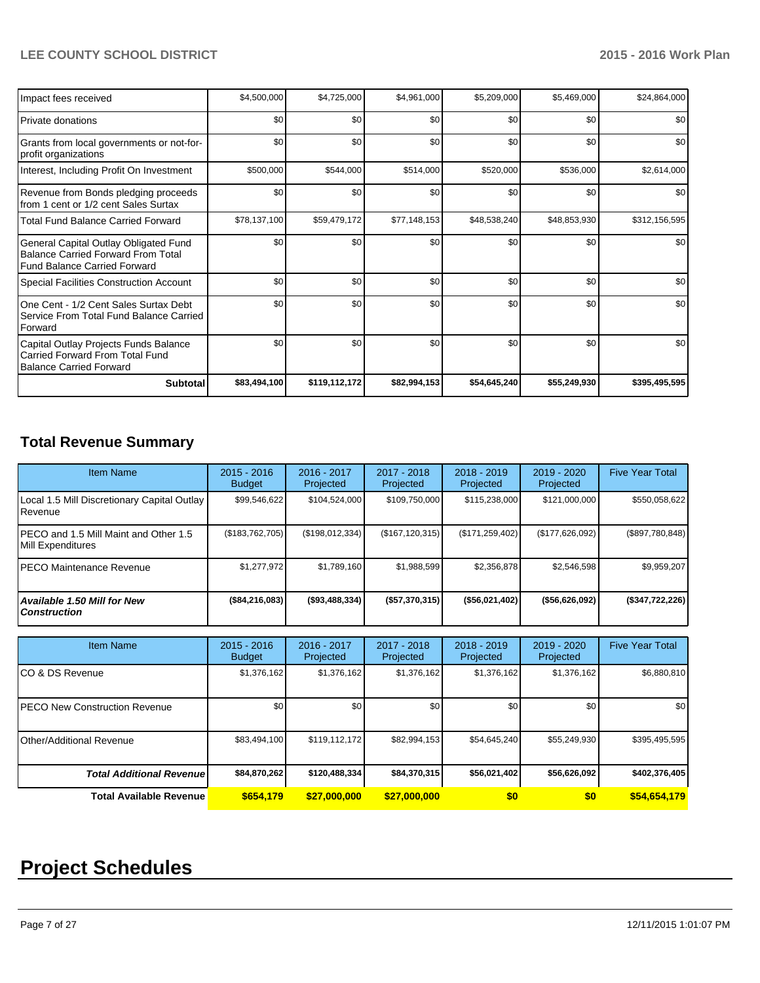| Impact fees received                                                                                                      | \$4,500,000  | \$4,725,000   | \$4,961,000  | \$5,209,000  | \$5,469,000  | \$24,864,000  |
|---------------------------------------------------------------------------------------------------------------------------|--------------|---------------|--------------|--------------|--------------|---------------|
| <b>Private donations</b>                                                                                                  | \$0          | \$0           | \$0          | \$0          | \$0          | \$0           |
| Grants from local governments or not-for-<br>profit organizations                                                         | \$0          | \$0           | \$0          | \$0          | \$0          | \$0           |
| Interest, Including Profit On Investment                                                                                  | \$500,000    | \$544,000     | \$514,000    | \$520,000    | \$536,000    | \$2,614,000   |
| Revenue from Bonds pledging proceeds<br>from 1 cent or 1/2 cent Sales Surtax                                              | \$0          | \$0           | \$0          | \$0          | \$0          | \$0           |
| <b>Total Fund Balance Carried Forward</b>                                                                                 | \$78,137,100 | \$59,479,172  | \$77,148,153 | \$48,538,240 | \$48,853,930 | \$312,156,595 |
| General Capital Outlay Obligated Fund<br><b>Balance Carried Forward From Total</b><br><b>Fund Balance Carried Forward</b> | \$0          | \$0           | \$0          | \$0          | \$0          | \$0           |
| <b>Special Facilities Construction Account</b>                                                                            | \$0          | \$0           | \$0          | \$0          | \$0          | \$0           |
| One Cent - 1/2 Cent Sales Surtax Debt<br>Service From Total Fund Balance Carried<br>Forward                               | \$0          | \$0           | \$0          | \$0          | \$0          | \$0           |
| Capital Outlay Projects Funds Balance<br>Carried Forward From Total Fund<br><b>Balance Carried Forward</b>                | \$0          | \$0           | \$0          | \$0          | \$0          | \$0           |
| <b>Subtotal</b>                                                                                                           | \$83,494,100 | \$119,112,172 | \$82,994,153 | \$54,645,240 | \$55,249,930 | \$395,495,595 |

# **Total Revenue Summary**

| <b>Item Name</b>                                                  | $2015 - 2016$<br><b>Budget</b> | 2016 - 2017<br>Projected | 2017 - 2018<br>Projected | $2018 - 2019$<br>Projected | 2019 - 2020<br>Projected | <b>Five Year Total</b> |
|-------------------------------------------------------------------|--------------------------------|--------------------------|--------------------------|----------------------------|--------------------------|------------------------|
| Local 1.5 Mill Discretionary Capital Outlay<br>Revenue            | \$99,546,622                   | \$104,524,000            | \$109,750,000            | \$115,238,000              | \$121,000,000            | \$550,058,622          |
| PECO and 1.5 Mill Maint and Other 1.5<br><b>Mill Expenditures</b> | (\$183,762,705)                | (\$198,012,334)          | (\$167, 120, 315)        | (\$171, 259, 402)          | (\$177,626,092)          | (\$897,780,848)        |
| PECO Maintenance Revenue                                          | \$1,277,972                    | \$1,789,160              | \$1,988,599              | \$2,356,878                | \$2,546,598              | \$9,959,207            |
| Available 1.50 Mill for New<br><b>Construction</b>                | (\$84,216,083)                 | ( \$93,488,334)          | (\$57,370,315)           | ( \$56,021,402]            | ( \$56,626,092)          | (\$347,722,226)        |
| <b>Item Name</b>                                                  | $2015 - 2016$                  | 2016 - 2017              | 2017 - 2018              | $2018 - 2019$              | 2019 - 2020              | <b>Five Year Total</b> |
|                                                                   | <b>Budget</b>                  | Projected                | Projected                | Projected                  | Projected                |                        |
| CO & DS Revenue                                                   | \$1,376,162                    | \$1,376,162              | \$1,376,162              | \$1,376,162                | \$1,376,162              | \$6,880,810            |
| <b>PECO New Construction Revenue</b>                              | \$0                            | \$0                      | \$0                      | \$0                        | \$0                      | \$0                    |
| <b>Other/Additional Revenue</b>                                   | \$83,494,100                   | \$119,112,172            | \$82,994,153             | \$54,645,240               | \$55,249,930             | \$395,495,595          |
| <b>Total Additional Revenue</b>                                   | \$84,870,262                   | \$120,488,334            | \$84,370,315             | \$56,021,402               | \$56,626,092             | \$402,376,405          |
| <b>Total Available Revenue</b>                                    | \$654.179                      | \$27,000,000             | \$27.000.000             | \$0                        | \$0                      | \$54,654,179           |

# **Project Schedules**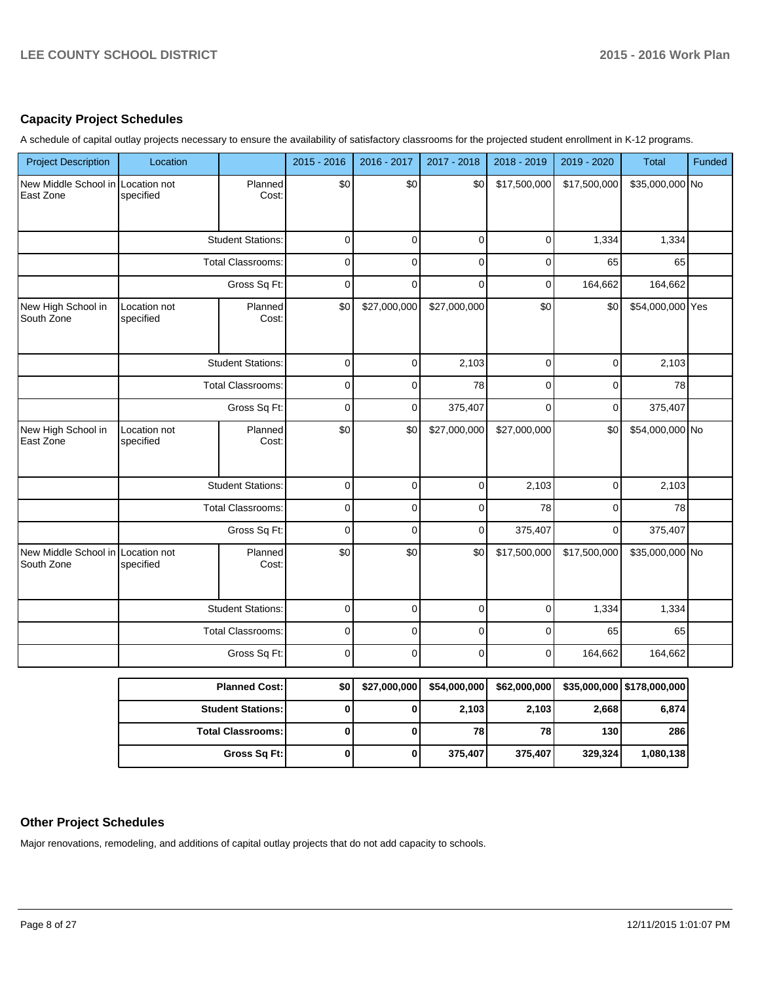### **Capacity Project Schedules**

A schedule of capital outlay projects necessary to ensure the availability of satisfactory classrooms for the projected student enrollment in K-12 programs.

| <b>Project Description</b>         | Location                  |                          | $2015 - 2016$  | 2016 - 2017    | 2017 - 2018  | 2018 - 2019  | 2019 - 2020  | <b>Total</b>     | Funded |
|------------------------------------|---------------------------|--------------------------|----------------|----------------|--------------|--------------|--------------|------------------|--------|
| New Middle School in<br>East Zone  | Location not<br>specified | Planned<br>Cost:         | \$0            | \$0            | \$0          | \$17,500,000 | \$17,500,000 | \$35,000,000 No  |        |
|                                    |                           | <b>Student Stations:</b> | $\mathbf 0$    | $\mathbf 0$    | $\mathbf 0$  | $\mathbf 0$  | 1,334        | 1,334            |        |
|                                    |                           | <b>Total Classrooms:</b> | 0              | $\mathbf 0$    | $\mathbf 0$  | $\mathbf 0$  | 65           | 65               |        |
|                                    |                           | Gross Sq Ft:             | $\Omega$       | $\Omega$       | $\Omega$     | $\Omega$     | 164,662      | 164,662          |        |
| New High School in<br>South Zone   | Location not<br>specified | Planned<br>Cost:         | \$0            | \$27,000,000   | \$27,000,000 | \$0          | \$0          | \$54,000,000 Yes |        |
|                                    |                           | <b>Student Stations:</b> | $\mathbf 0$    | $\Omega$       | 2,103        | $\mathbf 0$  | $\mathbf 0$  | 2,103            |        |
|                                    |                           | <b>Total Classrooms:</b> | $\mathbf 0$    | $\overline{0}$ | 78           | $\mathbf 0$  | $\mathbf 0$  | 78               |        |
|                                    |                           | Gross Sq Ft:             | $\mathbf 0$    | $\mathbf 0$    | 375,407      | $\Omega$     | $\mathbf 0$  | 375,407          |        |
| New High School in<br>East Zone    | Location not<br>specified | Planned<br>Cost:         | \$0            | \$0            | \$27,000,000 | \$27,000,000 | \$0          | \$54,000,000 No  |        |
|                                    |                           | <b>Student Stations:</b> | 0              | $\mathbf 0$    | $\pmb{0}$    | 2,103        | $\pmb{0}$    | 2,103            |        |
|                                    |                           | <b>Total Classrooms:</b> | $\overline{0}$ | $\Omega$       | $\Omega$     | 78           | $\Omega$     | 78               |        |
|                                    |                           | Gross Sq Ft:             | $\mathbf 0$    | $\mathbf 0$    | $\pmb{0}$    | 375,407      | $\mathbf 0$  | 375,407          |        |
| New Middle School in<br>South Zone | Location not<br>specified | Planned<br>Cost:         | \$0            | \$0            | \$0          | \$17,500,000 | \$17,500,000 | \$35,000,000 No  |        |
|                                    |                           | <b>Student Stations:</b> | $\mathbf 0$    | $\mathbf 0$    | $\mathbf 0$  | $\mathbf 0$  | 1,334        | 1,334            |        |
|                                    |                           | <b>Total Classrooms:</b> | $\mathbf 0$    | $\Omega$       | $\mathbf 0$  | $\mathbf 0$  | 65           | 65               |        |
|                                    |                           | Gross Sq Ft:             | $\pmb{0}$      | $\mathbf 0$    | $\pmb{0}$    | $\mathbf 0$  | 164,662      | 164,662          |        |

| <b>Planned Cost:</b>       | \$0 | \$27,000,000 | \$54,000,000 | \$62,000,000 |         | \$35,000,000   \$178,000,000 |
|----------------------------|-----|--------------|--------------|--------------|---------|------------------------------|
| <b>Student Stations:</b>   |     | 0            | 2,103        | 2,103        | 2,668   | 6,874                        |
| <b>Total Classrooms: I</b> |     | U            | 78           | 78           | 130     | 286                          |
| Gross Sq Ft:               |     | 0            | 375,407      | 375,407      | 329,324 | 1,080,138                    |

## **Other Project Schedules**

Major renovations, remodeling, and additions of capital outlay projects that do not add capacity to schools.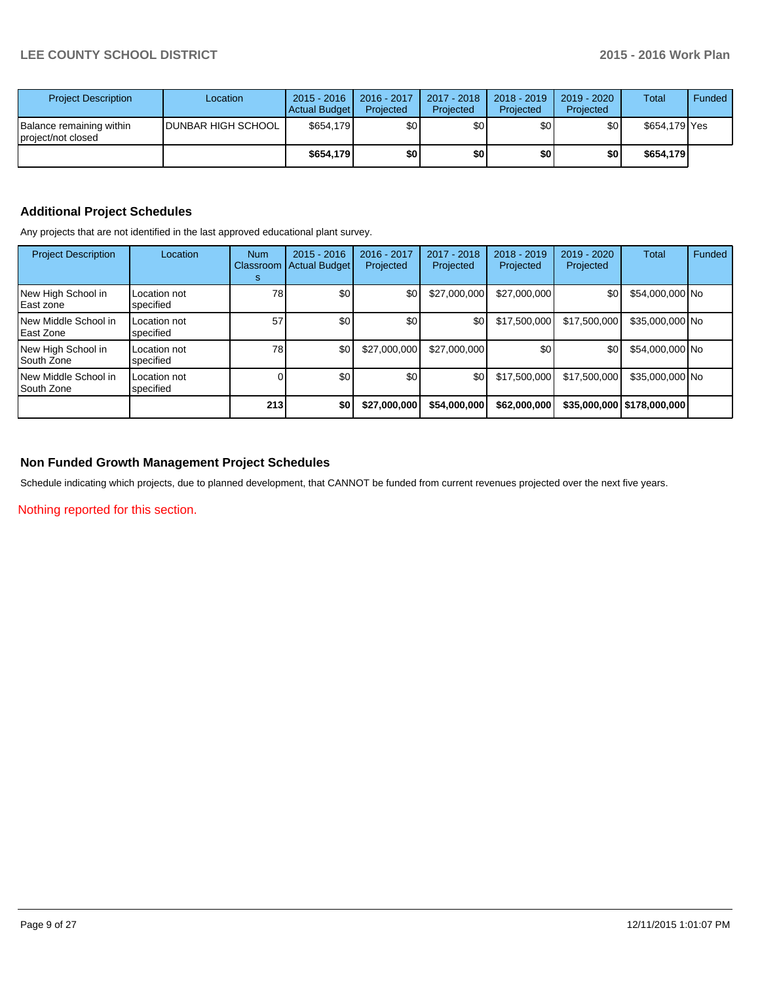| <b>Project Description</b>                     | Location            | $2015 - 2016$<br>Actual Budget | 2016 - 2017<br>Projected | 2017 - 2018<br>Projected | $2018 - 2019$<br>Projected | 2019 - 2020<br>Projected | Total         | Funded |
|------------------------------------------------|---------------------|--------------------------------|--------------------------|--------------------------|----------------------------|--------------------------|---------------|--------|
| Balance remaining within<br>project/not closed | IDUNBAR HIGH SCHOOL | \$654.179                      | \$0                      | \$0                      | \$0                        | \$0                      | \$654.179 Yes |        |
|                                                |                     | \$654.179                      | \$0                      | \$0                      | \$0                        | \$0                      | \$654.179     |        |

# **Additional Project Schedules**

Any projects that are not identified in the last approved educational plant survey.

| <b>Project Description</b>           | Location                  | <b>Num</b><br>Classroom<br>s | $2015 - 2016$<br><b>Actual Budget</b> | 2016 - 2017<br>Projected | 2017 - 2018<br>Projected | 2018 - 2019<br>Projected | 2019 - 2020<br>Projected | Total                        | Funded |
|--------------------------------------|---------------------------|------------------------------|---------------------------------------|--------------------------|--------------------------|--------------------------|--------------------------|------------------------------|--------|
| New High School in<br>l East zone    | Location not<br>specified | 78                           | \$0                                   | \$0                      | \$27,000,000             | \$27,000,000             | \$0                      | \$54,000,000 No              |        |
| New Middle School in<br>l East Zone  | Location not<br>specified | 57                           | \$0                                   | \$0                      | \$0                      | \$17.500.000             | \$17,500,000             | \$35,000,000 No              |        |
| New High School in<br>l South Zone   | Location not<br>specified | 78                           | \$0                                   | \$27,000,000             | \$27,000,000             | \$0                      | \$0                      | \$54,000,000 No              |        |
| New Middle School in<br>l South Zone | Location not<br>specified |                              | \$0                                   | \$0                      | \$0                      | \$17.500.000             | \$17,500,000             | \$35,000,000 No              |        |
|                                      |                           | 213                          | \$0                                   | \$27,000,000             | \$54,000,000             | \$62,000,000             |                          | \$35,000,000   \$178,000,000 |        |

## **Non Funded Growth Management Project Schedules**

Schedule indicating which projects, due to planned development, that CANNOT be funded from current revenues projected over the next five years.

Nothing reported for this section.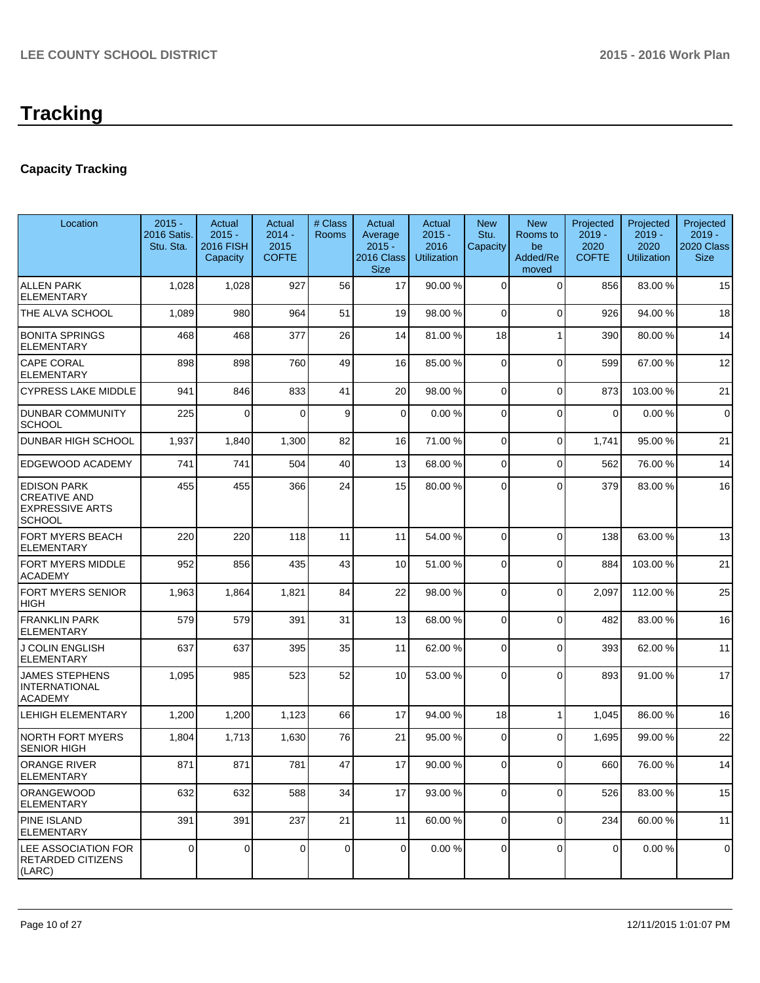# **Tracking**

# **Capacity Tracking**

| Location                                                                             | $2015 -$<br>2016 Satis.<br>Stu. Sta. | Actual<br>$2015 -$<br><b>2016 FISH</b><br>Capacity | Actual<br>$2014 -$<br>2015<br><b>COFTE</b> | # Class<br>Rooms | Actual<br>Average<br>$2015 -$<br>2016 Class<br><b>Size</b> | Actual<br>$2015 -$<br>2016<br><b>Utilization</b> | <b>New</b><br>Stu.<br>Capacity | <b>New</b><br>Rooms to<br>be<br>Added/Re<br>moved | Projected<br>$2019 -$<br>2020<br><b>COFTE</b> | Projected<br>$2019 -$<br>2020<br><b>Utilization</b> | Projected<br>$2019 -$<br>2020 Class<br><b>Size</b> |
|--------------------------------------------------------------------------------------|--------------------------------------|----------------------------------------------------|--------------------------------------------|------------------|------------------------------------------------------------|--------------------------------------------------|--------------------------------|---------------------------------------------------|-----------------------------------------------|-----------------------------------------------------|----------------------------------------------------|
| <b>ALLEN PARK</b><br><b>ELEMENTARY</b>                                               | 1,028                                | 1,028                                              | 927                                        | 56               | 17                                                         | 90.00 %                                          | $\Omega$                       | $\Omega$                                          | 856                                           | 83.00 %                                             | 15                                                 |
| THE ALVA SCHOOL                                                                      | 1,089                                | 980                                                | 964                                        | 51               | 19                                                         | 98.00 %                                          | 0                              | $\Omega$                                          | 926                                           | 94.00%                                              | 18                                                 |
| <b>BONITA SPRINGS</b><br><b>ELEMENTARY</b>                                           | 468                                  | 468                                                | 377                                        | 26               | 14                                                         | 81.00 %                                          | 18                             |                                                   | 390                                           | 80.00 %                                             | 14                                                 |
| <b>CAPE CORAL</b><br><b>ELEMENTARY</b>                                               | 898                                  | 898                                                | 760                                        | 49               | 16                                                         | 85.00 %                                          | $\Omega$                       | $\Omega$                                          | 599                                           | 67.00 %                                             | 12                                                 |
| <b>CYPRESS LAKE MIDDLE</b>                                                           | 941                                  | 846                                                | 833                                        | 41               | 20                                                         | 98.00 %                                          | $\overline{0}$                 | $\mathbf 0$                                       | 873                                           | 103.00%                                             | 21                                                 |
| <b>DUNBAR COMMUNITY</b><br>SCHOOL                                                    | 225                                  | $\Omega$                                           | $\Omega$                                   | 9                | $\overline{0}$                                             | 0.00%                                            | $\Omega$                       | $\mathbf 0$                                       | 0                                             | 0.00%                                               | $\mathbf 0$                                        |
| <b>DUNBAR HIGH SCHOOL</b>                                                            | 1,937                                | 1,840                                              | 1,300                                      | 82               | 16                                                         | 71.00 %                                          | $\Omega$                       | $\mathbf 0$                                       | 1,741                                         | 95.00 %                                             | 21                                                 |
| <b>EDGEWOOD ACADEMY</b>                                                              | 741                                  | 741                                                | 504                                        | 40               | 13                                                         | 68.00 %                                          | $\Omega$                       | $\Omega$                                          | 562                                           | 76.00%                                              | 14                                                 |
| <b>EDISON PARK</b><br><b>CREATIVE AND</b><br><b>EXPRESSIVE ARTS</b><br><b>SCHOOL</b> | 455                                  | 455                                                | 366                                        | 24               | 15                                                         | 80.00 %                                          | $\Omega$                       | $\Omega$                                          | 379                                           | 83.00 %                                             | 16                                                 |
| FORT MYERS BEACH<br><b>ELEMENTARY</b>                                                | 220                                  | 220                                                | 118                                        | 11               | 11                                                         | 54.00 %                                          | $\Omega$                       | $\Omega$                                          | 138                                           | 63.00 %                                             | 13                                                 |
| <b>FORT MYERS MIDDLE</b><br><b>ACADEMY</b>                                           | 952                                  | 856                                                | 435                                        | 43               | 10                                                         | 51.00 %                                          | $\Omega$                       | $\mathbf 0$                                       | 884                                           | 103.00%                                             | 21                                                 |
| FORT MYERS SENIOR<br><b>HIGH</b>                                                     | 1,963                                | 1,864                                              | 1,821                                      | 84               | 22                                                         | 98.00 %                                          | $\Omega$                       | $\mathbf 0$                                       | 2,097                                         | 112.00 %                                            | 25                                                 |
| <b>FRANKLIN PARK</b><br><b>ELEMENTARY</b>                                            | 579                                  | 579                                                | 391                                        | 31               | 13                                                         | 68.00 %                                          | $\Omega$                       | $\mathbf 0$                                       | 482                                           | 83.00 %                                             | 16                                                 |
| J COLIN ENGLISH<br><b>ELEMENTARY</b>                                                 | 637                                  | 637                                                | 395                                        | 35               | 11                                                         | 62.00 %                                          | $\Omega$                       | $\mathbf 0$                                       | 393                                           | 62.00%                                              | 11                                                 |
| <b>JAMES STEPHENS</b><br><b>INTERNATIONAL</b><br><b>ACADEMY</b>                      | 1,095                                | 985                                                | 523                                        | 52               | 10                                                         | 53.00 %                                          | $\Omega$                       | $\Omega$                                          | 893                                           | 91.00%                                              | 17                                                 |
| <b>LEHIGH ELEMENTARY</b>                                                             | 1,200                                | 1,200                                              | 1,123                                      | 66               | 17                                                         | 94.00 %                                          | 18                             | 1                                                 | 1,045                                         | 86.00%                                              | 16                                                 |
| <b>NORTH FORT MYERS</b><br><b>SENIOR HIGH</b>                                        | 1,804                                | 1,713                                              | 1,630                                      | 76               | 21                                                         | 95.00 %                                          | $\Omega$                       | $\Omega$                                          | 1,695                                         | 99.00 %                                             | 22                                                 |
| <b>ORANGE RIVER</b><br><b>ELEMENTARY</b>                                             | 871                                  | 871                                                | 781                                        | 47               | 17                                                         | 90.00 %                                          | $\Omega$                       | $\Omega$                                          | 660                                           | 76.00 %                                             | 14                                                 |
| <b>ORANGEWOOD</b><br><b>ELEMENTARY</b>                                               | 632                                  | 632                                                | 588                                        | 34               | 17                                                         | 93.00 %                                          | $\overline{0}$                 | $\mathbf 0$                                       | 526                                           | 83.00 %                                             | 15                                                 |
| <b>PINE ISLAND</b><br><b>ELEMENTARY</b>                                              | 391                                  | 391                                                | 237                                        | 21               | 11                                                         | 60.00 %                                          | $\overline{0}$                 | $\mathbf 0$                                       | 234                                           | 60.00 %                                             | 11                                                 |
| LEE ASSOCIATION FOR<br><b>RETARDED CITIZENS</b><br>(LARC)                            | 0                                    | 0                                                  | 0                                          | $\mathbf 0$      | $\overline{0}$                                             | 0.00%                                            | 0                              | 0                                                 | 0                                             | 0.00%                                               | $\mathbf 0$                                        |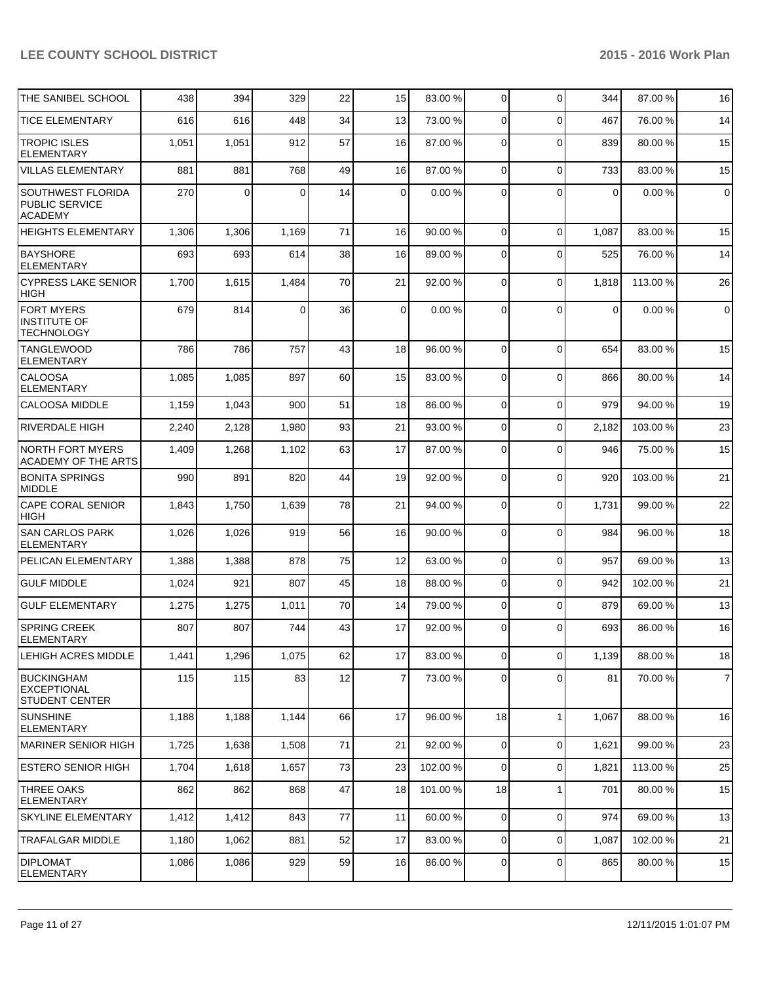| THE SANIBEL SCHOOL                                               | 438   | 394      | 329   | 22 | 15             | 83.00 % | $\overline{0}$ | $\Omega$       | 344   | 87.00 %  | 16             |
|------------------------------------------------------------------|-------|----------|-------|----|----------------|---------|----------------|----------------|-------|----------|----------------|
| <b>TICE ELEMENTARY</b>                                           | 616   | 616      | 448   | 34 | 13             | 73.00 % | $\overline{0}$ | $\Omega$       | 467   | 76.00 %  | 14             |
| <b>TROPIC ISLES</b><br><b>ELEMENTARY</b>                         | 1,051 | 1,051    | 912   | 57 | 16             | 87.00 % | 0              | $\Omega$       | 839   | 80.00%   | 15             |
| <b>VILLAS ELEMENTARY</b>                                         | 881   | 881      | 768   | 49 | 16             | 87.00 % | 0              | $\Omega$       | 733   | 83.00 %  | 15             |
| SOUTHWEST FLORIDA<br>PUBLIC SERVICE<br><b>ACADEMY</b>            | 270   | $\Omega$ | 0     | 14 | 0              | 0.00%   | 0              | $\Omega$       | 0     | 0.00%    | $\pmb{0}$      |
| <b>HEIGHTS ELEMENTARY</b>                                        | 1,306 | 1,306    | 1,169 | 71 | 16             | 90.00 % | $\overline{0}$ | $\Omega$       | 1,087 | 83.00 %  | 15             |
| <b>BAYSHORE</b><br><b>ELEMENTARY</b>                             | 693   | 693      | 614   | 38 | 16             | 89.00 % | 0              | $\Omega$       | 525   | 76.00 %  | 14             |
| <b>CYPRESS LAKE SENIOR</b><br><b>HIGH</b>                        | 1,700 | 1,615    | 1,484 | 70 | 21             | 92.00 % | 0              | $\Omega$       | 1,818 | 113.00 % | 26             |
| <b>FORT MYERS</b><br><b>INSTITUTE OF</b><br><b>TECHNOLOGY</b>    | 679   | 814      | 0     | 36 | 0              | 0.00%   | 0              | $\Omega$       | 0     | 0.00%    | $\pmb{0}$      |
| <b>TANGLEWOOD</b><br><b>ELEMENTARY</b>                           | 786   | 786      | 757   | 43 | 18             | 96.00 % | $\overline{0}$ | $\Omega$       | 654   | 83.00 %  | 15             |
| <b>CALOOSA</b><br><b>ELEMENTARY</b>                              | 1,085 | 1,085    | 897   | 60 | 15             | 83.00 % | 0              | $\Omega$       | 866   | 80.00 %  | 14             |
| CALOOSA MIDDLE                                                   | 1,159 | 1,043    | 900   | 51 | 18             | 86.00 % | 0              | $\Omega$       | 979   | 94.00%   | 19             |
| RIVERDALE HIGH                                                   | 2,240 | 2,128    | 1,980 | 93 | 21             | 93.00 % | 0              | $\mathbf 0$    | 2,182 | 103.00 % | 23             |
| <b>NORTH FORT MYERS</b><br>ACADEMY OF THE ARTS                   | 1,409 | 1,268    | 1,102 | 63 | 17             | 87.00 % | 0              | $\Omega$       | 946   | 75.00 %  | 15             |
| <b>BONITA SPRINGS</b><br><b>MIDDLE</b>                           | 990   | 891      | 820   | 44 | 19             | 92.00 % | 0              | $\Omega$       | 920   | 103.00 % | 21             |
| CAPE CORAL SENIOR<br><b>HIGH</b>                                 | 1,843 | 1,750    | 1,639 | 78 | 21             | 94.00 % | 0              | $\Omega$       | 1,731 | 99.00 %  | 22             |
| <b>SAN CARLOS PARK</b><br><b>ELEMENTARY</b>                      | 1,026 | 1,026    | 919   | 56 | 16             | 90.00 % | 0              | $\Omega$       | 984   | 96.00%   | 18             |
| PELICAN ELEMENTARY                                               | 1,388 | 1,388    | 878   | 75 | 12             | 63.00 % | $\mathbf 0$    | $\Omega$       | 957   | 69.00%   | 13             |
| <b>GULF MIDDLE</b>                                               | 1,024 | 921      | 807   | 45 | 18             | 88.00 % | $\mathbf 0$    | $\Omega$       | 942   | 102.00%  | 21             |
| <b>GULF ELEMENTARY</b>                                           | 1,275 | 1,275    | 1,011 | 70 | 14             | 79.00 % | 0              | $\Omega$       | 879   | 69.00 %  | 13             |
| <b>SPRING CREEK</b><br><b>ELEMENTARY</b>                         | 807   | 807      | 744   | 43 | 17             | 92.00 % | $\Omega$       | $\Omega$       | 693   | 86.00 %  | 16             |
| LEHIGH ACRES MIDDLE                                              | 1,441 | 1,296    | 1,075 | 62 | 17             | 83.00 % | $\overline{0}$ | $\overline{0}$ | 1,139 | 88.00%   | 18             |
| <b>BUCKINGHAM</b><br><b>EXCEPTIONAL</b><br><b>STUDENT CENTER</b> | 115   | 115      | 83    | 12 | $\overline{7}$ | 73.00 % | $\overline{0}$ | $\Omega$       | 81    | 70.00%   | $\overline{7}$ |
| <b>SUNSHINE</b><br><b>ELEMENTARY</b>                             | 1,188 | 1,188    | 1,144 | 66 | 17             | 96.00 % | 18             | 1              | 1,067 | 88.00 %  | 16             |
| MARINER SENIOR HIGH                                              | 1,725 | 1,638    | 1,508 | 71 | 21             | 92.00 % | 0              | $\overline{0}$ | 1,621 | 99.00 %  | 23             |
| ESTERO SENIOR HIGH                                               | 1,704 | 1,618    | 1,657 | 73 | 23             | 102.00% | $\mathbf 0$    | $\mathbf 0$    | 1,821 | 113.00 % | 25             |
| THREE OAKS<br><b>ELEMENTARY</b>                                  | 862   | 862      | 868   | 47 | 18             | 101.00% | 18             | $\mathbf{1}$   | 701   | 80.00%   | 15             |
| <b>SKYLINE ELEMENTARY</b>                                        | 1,412 | 1,412    | 843   | 77 | 11             | 60.00 % | $\mathbf 0$    | $\Omega$       | 974   | 69.00 %  | 13             |
| <b>TRAFALGAR MIDDLE</b>                                          | 1,180 | 1,062    | 881   | 52 | 17             | 83.00 % | $\mathbf 0$    | $\mathbf 0$    | 1,087 | 102.00%  | 21             |
| <b>DIPLOMAT</b><br>ELEMENTARY                                    | 1,086 | 1,086    | 929   | 59 | 16             | 86.00 % | 0              | $\mathbf 0$    | 865   | 80.00%   | 15             |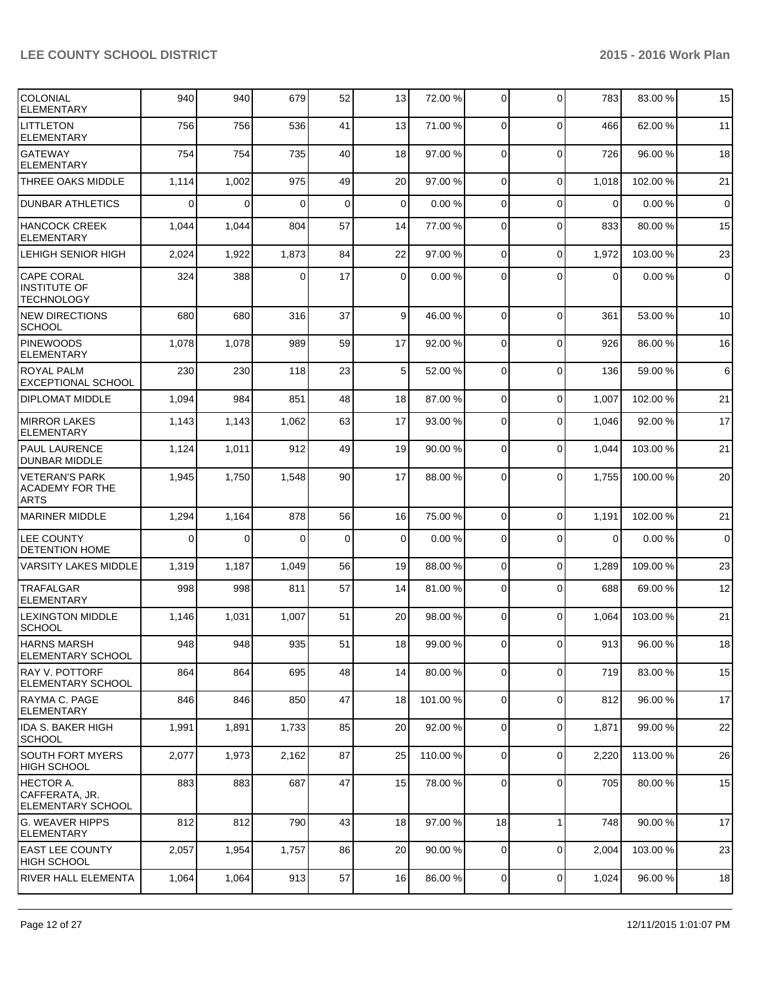| <b>COLONIAL</b><br><b>ELEMENTARY</b>                           | 940          | 940      | 679      | 52          | 13              | 72.00 % | $\Omega$       | $\Omega$       | 783         | 83.00 %  | 15          |
|----------------------------------------------------------------|--------------|----------|----------|-------------|-----------------|---------|----------------|----------------|-------------|----------|-------------|
| <b>LITTLETON</b><br><b>ELEMENTARY</b>                          | 756          | 756      | 536      | 41          | 13              | 71.00 % | $\Omega$       | $\Omega$       | 466         | 62.00%   | 11          |
| <b>GATEWAY</b><br><b>ELEMENTARY</b>                            | 754          | 754      | 735      | 40          | 18              | 97.00 % | $\Omega$       | 0              | 726         | 96.00 %  | 18          |
| THREE OAKS MIDDLE                                              | 1,114        | 1,002    | 975      | 49          | 20              | 97.00 % | $\overline{0}$ | $\Omega$       | 1,018       | 102.00%  | 21          |
| <b>DUNBAR ATHLETICS</b>                                        | 0            | $\Omega$ | $\Omega$ | $\mathbf 0$ | $\overline{0}$  | 0.00%   | 0              | $\mathbf 0$    | $\Omega$    | 0.00%    | $\mathbf 0$ |
| <b>HANCOCK CREEK</b><br><b>ELEMENTARY</b>                      | 1,044        | 1,044    | 804      | 57          | 14              | 77.00 % | 0              | $\overline{0}$ | 833         | 80.00 %  | 15          |
| LEHIGH SENIOR HIGH                                             | 2,024        | 1,922    | 1,873    | 84          | 22              | 97.00 % | $\Omega$       | 0              | 1,972       | 103.00 % | 23          |
| <b>CAPE CORAL</b><br><b>INSTITUTE OF</b><br><b>TECHNOLOGY</b>  | 324          | 388      | 0        | 17          | $\Omega$        | 0.00%   | $\Omega$       | $\mathbf{0}$   | $\mathbf 0$ | 0.00%    | $\mathbf 0$ |
| <b>NEW DIRECTIONS</b><br><b>SCHOOL</b>                         | 680          | 680      | 316      | 37          | $\vert 9 \vert$ | 46.00 % | 0              | $\mathbf 0$    | 361         | 53.00 %  | 10          |
| <b>PINEWOODS</b><br><b>ELEMENTARY</b>                          | 1,078        | 1,078    | 989      | 59          | 17              | 92.00 % | $\Omega$       | $\mathbf 0$    | 926         | 86.00 %  | 16          |
| ROYAL PALM<br><b>EXCEPTIONAL SCHOOL</b>                        | 230          | 230      | 118      | 23          | 5 <sup>1</sup>  | 52.00 % | $\Omega$       | $\mathbf 0$    | 136         | 59.00 %  | $6 \,$      |
| <b>DIPLOMAT MIDDLE</b>                                         | 1,094        | 984      | 851      | 48          | 18              | 87.00 % | $\Omega$       | $\mathbf 0$    | 1,007       | 102.00%  | 21          |
| <b>MIRROR LAKES</b><br><b>ELEMENTARY</b>                       | 1,143        | 1,143    | 1,062    | 63          | 17              | 93.00 % | $\Omega$       | $\mathbf{0}$   | 1,046       | 92.00%   | 17          |
| <b>PAUL LAURENCE</b><br>DUNBAR MIDDLE                          | 1,124        | 1,011    | 912      | 49          | 19              | 90.00 % | $\Omega$       | $\mathbf 0$    | 1,044       | 103.00%  | 21          |
| <b>VETERAN'S PARK</b><br><b>ACADEMY FOR THE</b><br><b>ARTS</b> | 1,945        | 1,750    | 1,548    | 90          | 17              | 88.00 % | $\Omega$       | $\Omega$       | 1,755       | 100.00%  | 20          |
| MARINER MIDDLE                                                 | 1,294        | 1,164    | 878      | 56          | 16              | 75.00 % | $\Omega$       | $\mathbf{0}$   | 1,191       | 102.00%  | 21          |
| LEE COUNTY<br><b>DETENTION HOME</b>                            | $\mathbf{0}$ | $\Omega$ | $\Omega$ | $\mathbf 0$ | $\Omega$        | 0.00%   | $\Omega$       | $\Omega$       | $\mathbf 0$ | 0.00%    | $\mathbf 0$ |
| <b>VARSITY LAKES MIDDLE</b>                                    | 1,319        | 1,187    | 1,049    | 56          | 19              | 88.00 % | $\Omega$       | $\mathbf 0$    | 1,289       | 109.00%  | 23          |
| TRAFALGAR<br><b>ELEMENTARY</b>                                 | 998          | 998      | 811      | 57          | 14              | 81.00%  | $\Omega$       | $\mathbf{0}$   | 688         | 69.00%   | 12          |
| <b>LEXINGTON MIDDLE</b><br><b>SCHOOL</b>                       | 1,146        | 1,031    | 1,007    | 51          | 20              | 98.00 % | $\Omega$       | $\mathbf{0}$   | 1,064       | 103.00%  | 21          |
| HARNS MARSH<br>ELEMENTARY SCHOOL                               | 948          | 948      | 935      | 51          | 18              | 99.00 % | $\overline{0}$ | 0              | 913         | 96.00%   | 18          |
| <b>RAY V. POTTORF</b><br>ELEMENTARY SCHOOL                     | 864          | 864      | 695      | 48          | 14              | 80.00 % | $\overline{0}$ | $\mathbf{0}$   | 719         | 83.00 %  | 15          |
| RAYMA C. PAGE<br><b>ELEMENTARY</b>                             | 846          | 846      | 850      | 47          | 18              | 101.00% | $\Omega$       | 0              | 812         | 96.00%   | 17          |
| IIDA S. BAKER HIGH<br>SCHOOL                                   | 1,991        | 1,891    | 1,733    | 85          | 20              | 92.00 % | $\overline{0}$ | 0              | 1,871       | 99.00 %  | 22          |
| SOUTH FORT MYERS<br>HIGH SCHOOL                                | 2,077        | 1,973    | 2,162    | 87          | 25              | 110.00% | $\Omega$       | 0              | 2,220       | 113.00 % | 26          |
| HECTOR A.<br>CAFFERATA, JR.<br><b>ELEMENTARY SCHOOL</b>        | 883          | 883      | 687      | 47          | 15 <sup>1</sup> | 78.00 % | $\overline{0}$ | 0              | 705         | 80.00%   | 15          |
| G. WEAVER HIPPS<br><b>ELEMENTARY</b>                           | 812          | 812      | 790      | 43          | 18              | 97.00 % | 18             | 1              | 748         | 90.00%   | 17          |
| <b>EAST LEE COUNTY</b><br>HIGH SCHOOL                          | 2,057        | 1,954    | 1,757    | 86          | 20 <sub>2</sub> | 90.00 % | $\overline{0}$ | 0              | 2,004       | 103.00 % | 23          |
| <b>RIVER HALL ELEMENTA</b>                                     | 1,064        | 1,064    | 913      | 57          | 16              | 86.00 % | $\mathbf{0}$   | $\mathbf 0$    | 1,024       | 96.00 %  | 18          |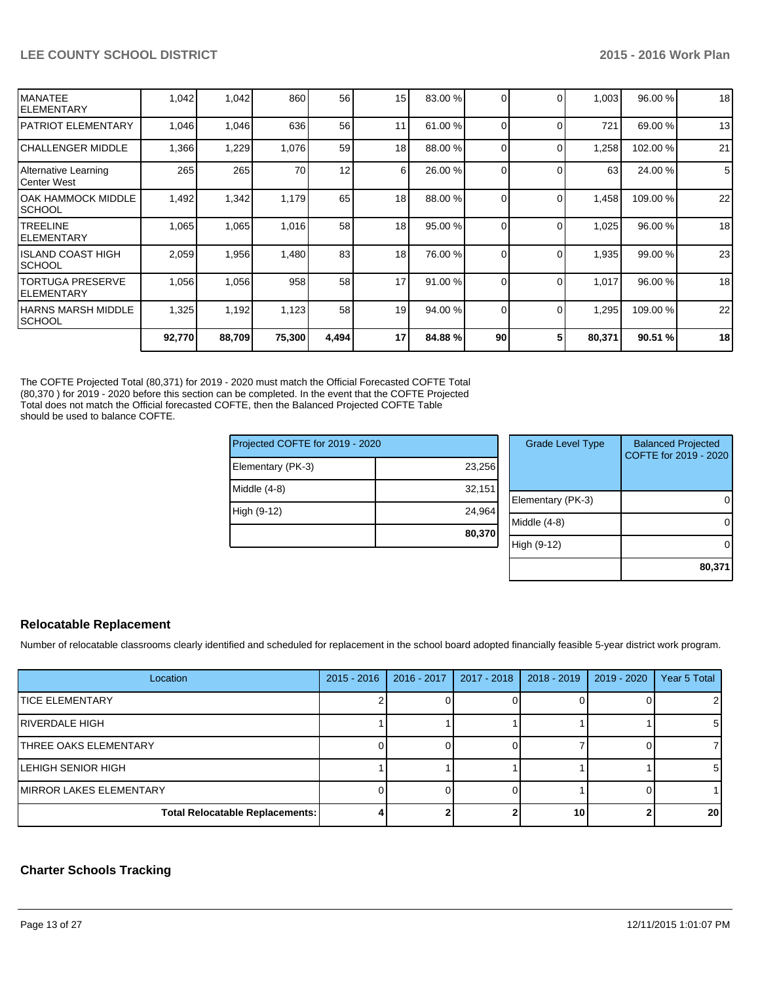|                                        | 92,770 | 88,709 | 75,300 | 4,494 | 17       | 84.88%  | 90       |          | 80,371 | 90.51 %  | 18 |
|----------------------------------------|--------|--------|--------|-------|----------|---------|----------|----------|--------|----------|----|
| HARNS MARSH MIDDLE<br><b>SCHOOL</b>    | 1,325  | 1,192  | 1,123  | 58    | 19       | 94.00 % | $\Omega$ | $\Omega$ | 1,295  | 109.00 % | 22 |
| <b>TORTUGA PRESERVE</b><br>IELEMENTARY | 1,056  | 1,056  | 958    | 58    | 17       | 91.00%  | $\Omega$ | $\Omega$ | 1,017  | 96.00 %  | 18 |
| IISLAND COAST HIGH<br>ISCHOOL          | 2,059  | 1,956  | 1,480  | 83    | 18       | 76.00 % | $\Omega$ | $\Omega$ | 1,935  | 99.00 %  | 23 |
| ITREELINE<br>IELEMENTARY               | 1,065  | 1,065  | 1,016  | 58    | 18       | 95.00 % | $\Omega$ | $\Omega$ | 1,025  | 96.00 %  | 18 |
| IOAK HAMMOCK MIDDLE<br>ISCHOOL         | 1,492  | 1,342  | 1,179  | 65    | 18       | 88.00 % |          | $\Omega$ | 1,458  | 109.00 % | 22 |
| Alternative Learning<br>lCenter West   | 265    | 265    | 70     | 12    | $6 \mid$ | 26.00 % | $\Omega$ | $\Omega$ | 63     | 24.00 %  | 5  |
| ICHALLENGER MIDDLE                     | 1,366  | 1,229  | 1,076  | 59    | 18       | 88.00 % |          | $\Omega$ | 1,258  | 102.00 % | 21 |
| IPATRIOT ELEMENTARY                    | 1,046  | 1,046  | 636    | 56    | 11       | 61.00 % | U        | ∩        | 721    | 69.00 %  | 13 |
| IMANATEE<br><b>ELEMENTARY</b>          | 1,042  | 1,042  | 860    | 56    | 15       | 83.00 % |          | $\Omega$ | 1,003  | 96.00 %  | 18 |

The COFTE Projected Total (80,371) for 2019 - 2020 must match the Official Forecasted COFTE Total (80,370 ) for 2019 - 2020 before this section can be completed. In the event that the COFTE Projected Total does not match the Official forecasted COFTE, then the Balanced Projected COFTE Table should be used to balance COFTE.

| Projected COFTE for 2019 - 2020 |        | <b>Grade Level Type</b> | <b>Balanced Projected</b><br>COFTE for 2019 - 2020 |
|---------------------------------|--------|-------------------------|----------------------------------------------------|
| Elementary (PK-3)               | 23,256 |                         |                                                    |
| Middle (4-8)                    | 32,151 |                         |                                                    |
|                                 |        | Elementary (PK-3)       |                                                    |
| High (9-12)                     | 24.964 |                         |                                                    |
|                                 |        | Middle (4-8)            |                                                    |
|                                 | 80,370 |                         |                                                    |
|                                 |        | High (9-12)             | 0                                                  |
|                                 |        |                         |                                                    |
|                                 |        |                         | 80.371                                             |

### **Relocatable Replacement**

Number of relocatable classrooms clearly identified and scheduled for replacement in the school board adopted financially feasible 5-year district work program.

| Location                        | $2015 - 2016$ | 2016 - 2017 | 2017 - 2018 | 2018 - 2019     | 2019 - 2020 | Year 5 Total    |
|---------------------------------|---------------|-------------|-------------|-----------------|-------------|-----------------|
| <b>TICE ELEMENTARY</b>          |               |             |             |                 |             |                 |
| <b>IRIVERDALE HIGH</b>          |               |             |             |                 |             | 51              |
| <b>THREE OAKS ELEMENTARY</b>    |               |             |             |                 |             |                 |
| <b>LEHIGH SENIOR HIGH</b>       |               |             |             |                 |             | 5 <sub>l</sub>  |
| <b>IMIRROR LAKES ELEMENTARY</b> |               |             |             |                 |             |                 |
| Total Relocatable Replacements: |               |             |             | 10 <sup>1</sup> |             | 20 <sub>l</sub> |

## **Charter Schools Tracking**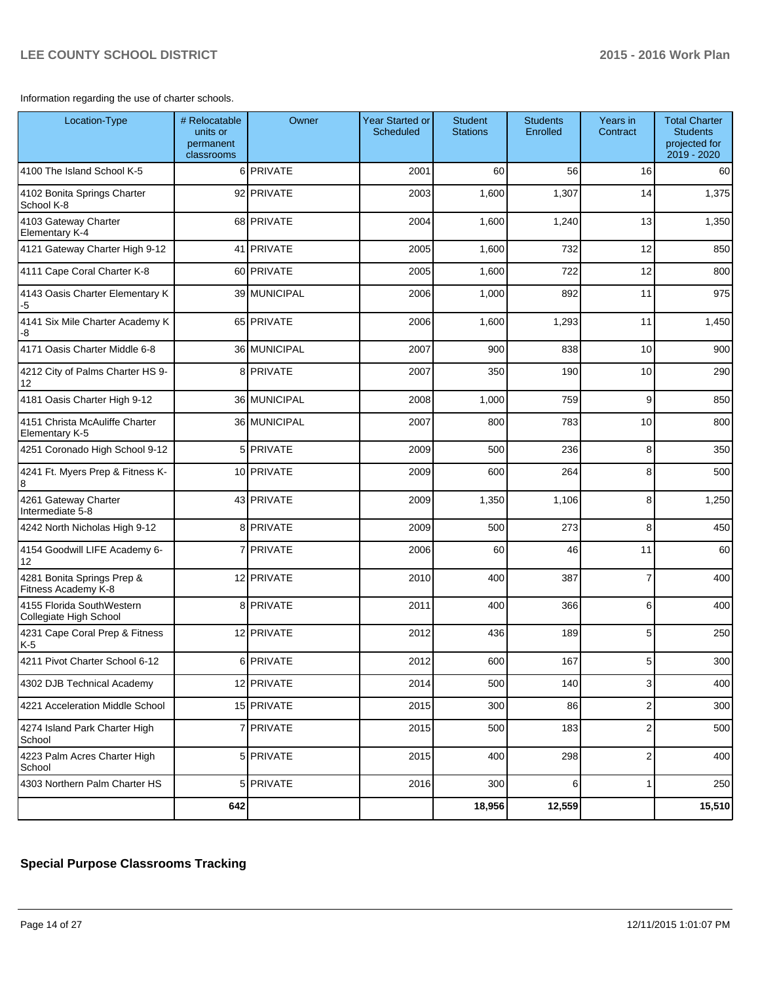Information regarding the use of charter schools.

| Location-Type                                       | # Relocatable<br>units or<br>permanent<br>classrooms | Owner          | <b>Year Started or</b><br>Scheduled | <b>Student</b><br><b>Stations</b> | <b>Students</b><br>Enrolled | Years in<br>Contract      | <b>Total Charter</b><br><b>Students</b><br>projected for<br>2019 - 2020 |
|-----------------------------------------------------|------------------------------------------------------|----------------|-------------------------------------|-----------------------------------|-----------------------------|---------------------------|-------------------------------------------------------------------------|
| 4100 The Island School K-5                          |                                                      | 6 PRIVATE      | 2001                                | 60                                | 56                          | 16                        | 60                                                                      |
| 4102 Bonita Springs Charter<br>School K-8           |                                                      | 92 PRIVATE     | 2003                                | 1,600                             | 1,307                       | 14                        | 1,375                                                                   |
| 4103 Gateway Charter<br><b>Elementary K-4</b>       |                                                      | 68 PRIVATE     | 2004                                | 1,600                             | 1,240                       | 13                        | 1,350                                                                   |
| 4121 Gateway Charter High 9-12                      |                                                      | 41 PRIVATE     | 2005                                | 1,600                             | 732                         | 12                        | 850                                                                     |
| 4111 Cape Coral Charter K-8                         |                                                      | 60 PRIVATE     | 2005                                | 1,600                             | 722                         | 12                        | 800                                                                     |
| 4143 Oasis Charter Elementary K<br>$-5$             |                                                      | 39 MUNICIPAL   | 2006                                | 1,000                             | 892                         | 11                        | 975                                                                     |
| 4141 Six Mile Charter Academy K<br>-8               |                                                      | 65 PRIVATE     | 2006                                | 1,600                             | 1,293                       | 11                        | 1,450                                                                   |
| 4171 Oasis Charter Middle 6-8                       |                                                      | 36 MUNICIPAL   | 2007                                | 900                               | 838                         | 10                        | 900                                                                     |
| 4212 City of Palms Charter HS 9-<br>12              |                                                      | 8 PRIVATE      | 2007                                | 350                               | 190                         | 10                        | 290                                                                     |
| 4181 Oasis Charter High 9-12                        |                                                      | 36 MUNICIPAL   | 2008                                | 1,000                             | 759                         | 9                         | 850                                                                     |
| 4151 Christa McAuliffe Charter<br>Elementary K-5    |                                                      | 36 MUNICIPAL   | 2007                                | 800                               | 783                         | 10                        | 800                                                                     |
| 4251 Coronado High School 9-12                      |                                                      | 5 PRIVATE      | 2009                                | 500                               | 236                         | 8                         | 350                                                                     |
| 4241 Ft. Myers Prep & Fitness K-<br>8               |                                                      | 10 PRIVATE     | 2009                                | 600                               | 264                         | 8                         | 500                                                                     |
| 4261 Gateway Charter<br>Intermediate 5-8            |                                                      | 43 PRIVATE     | 2009                                | 1,350                             | 1,106                       | 8                         | 1,250                                                                   |
| 4242 North Nicholas High 9-12                       |                                                      | 8 PRIVATE      | 2009                                | 500                               | 273                         | 8                         | 450                                                                     |
| 4154 Goodwill LIFE Academy 6-<br>12                 |                                                      | <b>PRIVATE</b> | 2006                                | 60                                | 46                          | 11                        | 60                                                                      |
| 4281 Bonita Springs Prep &<br>Fitness Academy K-8   |                                                      | 12 PRIVATE     | 2010                                | 400                               | 387                         | $\overline{7}$            | 400                                                                     |
| 4155 Florida SouthWestern<br>Collegiate High School |                                                      | 8 PRIVATE      | 2011                                | 400                               | 366                         | 6                         | 400                                                                     |
| 4231 Cape Coral Prep & Fitness<br>$K-5$             |                                                      | 12 PRIVATE     | 2012                                | 436                               | 189                         | 5                         | 250                                                                     |
| 4211 Pivot Charter School 6-12                      |                                                      | 6 PRIVATE      | 2012                                | 600                               | 167                         | 5 <sup>5</sup>            | 300                                                                     |
| 4302 DJB Technical Academy                          |                                                      | 12 PRIVATE     | 2014                                | 500                               | 140                         | $\ensuremath{\mathsf{3}}$ | 400                                                                     |
| 4221 Acceleration Middle School                     |                                                      | 15 PRIVATE     | 2015                                | 300                               | 86                          | $\mathbf 2$               | 300                                                                     |
| 4274 Island Park Charter High<br>School             |                                                      | 7 PRIVATE      | 2015                                | 500                               | 183                         | $\overline{2}$            | 500                                                                     |
| 4223 Palm Acres Charter High<br>School              |                                                      | 5 PRIVATE      | 2015                                | 400                               | 298                         | $\mathbf 2$               | 400                                                                     |
| 4303 Northern Palm Charter HS                       |                                                      | 5 PRIVATE      | 2016                                | 300                               | $6 \mid$                    | $\mathbf{1}$              | 250                                                                     |
|                                                     | 642                                                  |                |                                     | 18,956                            | 12,559                      |                           | 15,510                                                                  |

# **Special Purpose Classrooms Tracking**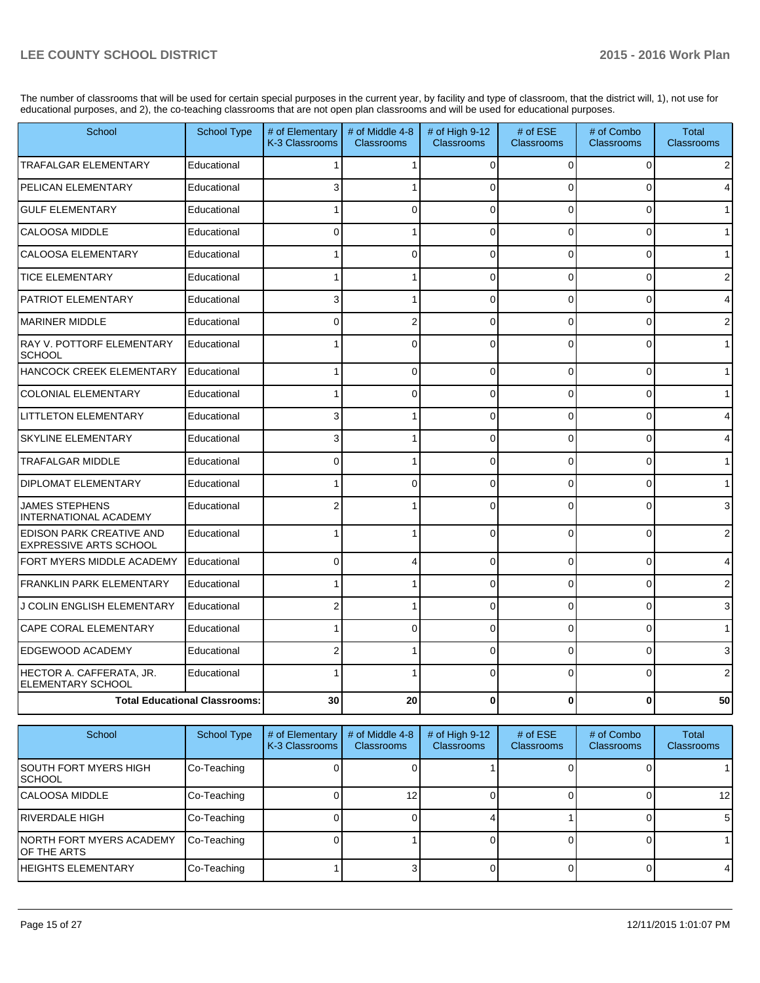The number of classrooms that will be used for certain special purposes in the current year, by facility and type of classroom, that the district will, 1), not use for educational purposes, and 2), the co-teaching classrooms that are not open plan classrooms and will be used for educational purposes.

| School                                                    | <b>School Type</b>                   | # of Elementary<br>K-3 Classrooms | # of Middle 4-8<br><b>Classrooms</b> | # of High 9-12<br><b>Classrooms</b> | # of ESE<br><b>Classrooms</b> | # of Combo<br><b>Classrooms</b> | Total<br><b>Classrooms</b> |
|-----------------------------------------------------------|--------------------------------------|-----------------------------------|--------------------------------------|-------------------------------------|-------------------------------|---------------------------------|----------------------------|
| TRAFALGAR ELEMENTARY                                      | Educational                          |                                   |                                      | $\Omega$                            | $\Omega$                      | $\Omega$                        |                            |
| PELICAN ELEMENTARY                                        | Educational                          | 3                                 |                                      | ∩                                   | U                             | $\Omega$                        |                            |
| <b>GULF ELEMENTARY</b>                                    | Educational                          |                                   | 0                                    | $\Omega$                            | $\Omega$                      | $\Omega$                        |                            |
| CALOOSA MIDDLE                                            | Educational                          | $\Omega$                          |                                      | $\mathbf{0}$                        | $\Omega$                      | $\Omega$                        |                            |
| CALOOSA ELEMENTARY                                        | Educational                          |                                   | 0                                    | $\mathbf{0}$                        | $\Omega$                      | 0                               |                            |
| <b>TICE ELEMENTARY</b>                                    | Educational                          |                                   |                                      | 0                                   | $\Omega$                      | 0                               |                            |
| PATRIOT ELEMENTARY                                        | Educational                          | 3                                 |                                      | $\Omega$                            | $\Omega$                      | $\Omega$                        |                            |
| <b>MARINER MIDDLE</b>                                     | Educational                          | 0                                 | $\overline{2}$                       | $\Omega$                            | $\Omega$                      | $\Omega$                        |                            |
| RAY V. POTTORF ELEMENTARY<br><b>SCHOOL</b>                | Educational                          |                                   | 0                                    | $\Omega$                            | $\Omega$                      | $\Omega$                        |                            |
| HANCOCK CREEK ELEMENTARY                                  | Educational                          |                                   | 0                                    | $\Omega$                            | $\Omega$                      | $\Omega$                        |                            |
| <b>COLONIAL ELEMENTARY</b>                                | Educational                          |                                   | $\Omega$                             | $\Omega$                            | $\Omega$                      | $\Omega$                        |                            |
| <b>LITTLETON ELEMENTARY</b>                               | Educational                          | 3                                 |                                      | $\Omega$                            | $\Omega$                      | 0                               |                            |
| <b>SKYLINE ELEMENTARY</b>                                 | Educational                          | 3                                 |                                      | $\Omega$                            | $\Omega$                      | 0                               |                            |
| <b>TRAFALGAR MIDDLE</b>                                   | Educational                          | $\Omega$                          |                                      | $\mathbf{0}$                        | $\Omega$                      | $\Omega$                        |                            |
| <b>DIPLOMAT ELEMENTARY</b>                                | Educational                          |                                   | $\Omega$                             | $\Omega$                            | $\Omega$                      | $\Omega$                        |                            |
| <b>JAMES STEPHENS</b><br>INTERNATIONAL ACADEMY            | Educational                          |                                   |                                      | $\Omega$                            | 0                             | $\Omega$                        |                            |
| EDISON PARK CREATIVE AND<br><b>EXPRESSIVE ARTS SCHOOL</b> | Educational                          |                                   |                                      | $\Omega$                            | $\Omega$                      | $\Omega$                        |                            |
| FORT MYERS MIDDLE ACADEMY                                 | Educational                          | $\mathbf{0}$                      | 4                                    | 0                                   | $\Omega$                      | 0                               |                            |
| <b>FRANKLIN PARK ELEMENTARY</b>                           | Educational                          |                                   |                                      | $\Omega$                            | $\Omega$                      | $\Omega$                        |                            |
| J COLIN ENGLISH ELEMENTARY                                | Educational                          |                                   |                                      | $\Omega$                            | $\Omega$                      | $\Omega$                        |                            |
| CAPE CORAL ELEMENTARY                                     | Educational                          |                                   | 0                                    | $\Omega$                            | $\Omega$                      | 0                               |                            |
| EDGEWOOD ACADEMY                                          | Educational                          | 2                                 |                                      | $\Omega$                            | $\Omega$                      | $\Omega$                        |                            |
| HECTOR A. CAFFERATA, JR.<br>ELEMENTARY SCHOOL             | Educational                          |                                   |                                      | $\Omega$                            | $\Omega$                      | $\Omega$                        |                            |
|                                                           | <b>Total Educational Classrooms:</b> | 30                                | 20                                   | 0                                   | $\bf{0}$                      | 0                               | 50                         |

| School                                    | School Type | # of Elementary<br>K-3 Classrooms | # of Middle 4-8<br><b>Classrooms</b> | # of High $9-12$<br>Classrooms | # of $ESE$<br><b>Classrooms</b> | # of Combo<br><b>Classrooms</b> | Total<br><b>Classrooms</b> |
|-------------------------------------------|-------------|-----------------------------------|--------------------------------------|--------------------------------|---------------------------------|---------------------------------|----------------------------|
| <b>SOUTH FORT MYERS HIGH</b><br>ISCHOOL   | Co-Teaching |                                   |                                      |                                |                                 |                                 |                            |
| ICALOOSA MIDDLE                           | Co-Teaching |                                   |                                      |                                |                                 |                                 | 12                         |
| IRIVERDALE HIGH                           | Co-Teaching |                                   |                                      |                                |                                 |                                 | 5                          |
| INORTH FORT MYERS ACADEMY<br>IOF THE ARTS | Co-Teaching |                                   |                                      |                                |                                 |                                 |                            |
| <b>IHEIGHTS ELEMENTARY</b>                | Co-Teaching |                                   |                                      |                                |                                 |                                 | 4                          |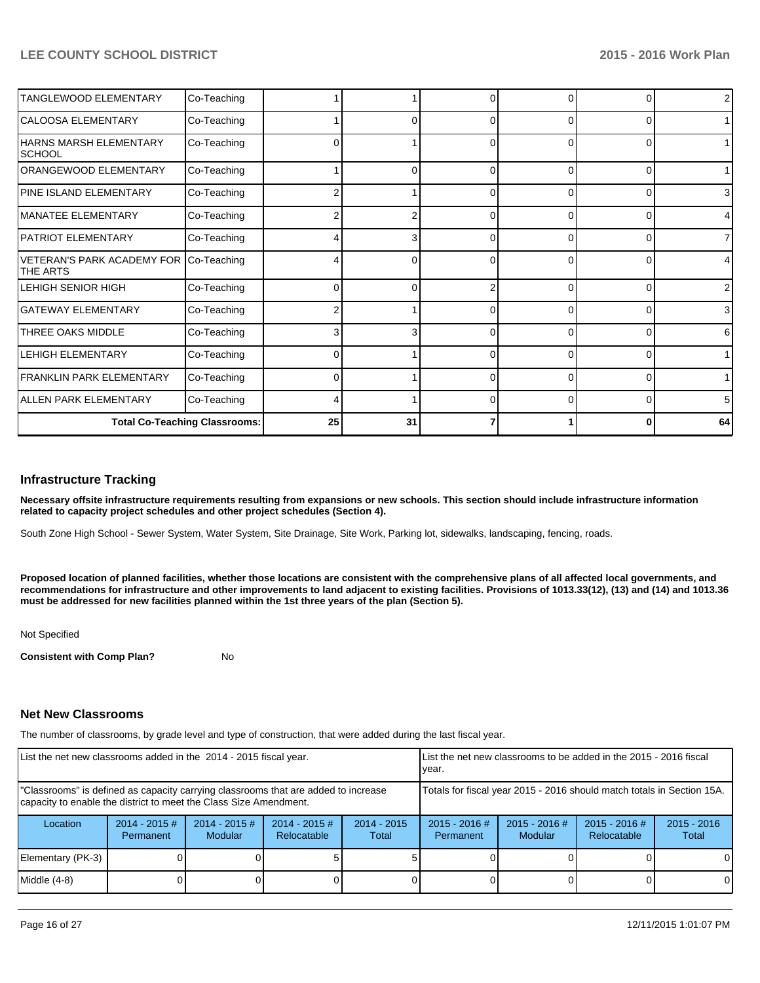| TANGLEWOOD ELEMENTARY                                     | Co-Teaching                          |    |    |              |          | 0        | $\overline{2}$ |
|-----------------------------------------------------------|--------------------------------------|----|----|--------------|----------|----------|----------------|
| CALOOSA ELEMENTARY                                        | Co-Teaching                          |    |    |              | $\Omega$ | $\Omega$ | 1              |
| HARNS MARSH ELEMENTARY<br><b>SCHOOL</b>                   | Co-Teaching                          | 0  |    | 0            | $\Omega$ | 0        | 1              |
| ORANGEWOOD ELEMENTARY                                     | Co-Teaching                          |    | ი  | 0            | $\Omega$ | 0        | 1 <sup>1</sup> |
| PINE ISLAND ELEMENTARY                                    | Co-Teaching                          |    |    | <sup>0</sup> | $\Omega$ | $\Omega$ | 3              |
| MANATEE ELEMENTARY                                        | Co-Teaching                          |    |    |              |          | ი        | $\overline{4}$ |
| PATRIOT ELEMENTARY                                        | Co-Teaching                          |    | 3  | 0            | 0        | 0        | $\overline{7}$ |
| VETERAN'S PARK ACADEMY FOR Co-Teaching<br><b>THE ARTS</b> |                                      |    | ∩  |              | 0        | $\Omega$ | 4              |
| LEHIGH SENIOR HIGH                                        | Co-Teaching                          |    | ∩  |              | 0        | $\Omega$ | $\overline{2}$ |
| lGATEWAY ELEMENTARY                                       | Co-Teaching                          |    |    |              | $\Omega$ | 0        | 3              |
| THREE OAKS MIDDLE                                         | Co-Teaching                          |    | 3  | <sup>0</sup> | 0        | $\Omega$ | 6              |
| <b>LEHIGH ELEMENTARY</b>                                  | Co-Teaching                          |    |    |              | U        | $\Omega$ | 1              |
| <b>FRANKLIN PARK ELEMENTARY</b>                           | Co-Teaching                          | 0  |    | <sup>0</sup> | $\Omega$ | $\Omega$ | 1              |
| ALLEN PARK ELEMENTARY                                     | Co-Teaching                          |    |    |              | n        | $\Omega$ | 5              |
|                                                           | <b>Total Co-Teaching Classrooms:</b> | 25 | 31 |              |          | 0        | 64             |

#### **Infrastructure Tracking**

**Necessary offsite infrastructure requirements resulting from expansions or new schools. This section should include infrastructure information related to capacity project schedules and other project schedules (Section 4).**

South Zone High School - Sewer System, Water System, Site Drainage, Site Work, Parking lot, sidewalks, landscaping, fencing, roads.

**Proposed location of planned facilities, whether those locations are consistent with the comprehensive plans of all affected local governments, and recommendations for infrastructure and other improvements to land adjacent to existing facilities. Provisions of 1013.33(12), (13) and (14) and 1013.36 must be addressed for new facilities planned within the 1st three years of the plan (Section 5).**

#### Not Specified

**Consistent with Comp Plan?** No

#### **Net New Classrooms**

The number of classrooms, by grade level and type of construction, that were added during the last fiscal year.

| List the net new classrooms added in the 2014 - 2015 fiscal year.                                                                                       |                               |                             |                                |                                                                        | List the net new classrooms to be added in the 2015 - 2016 fiscal<br>Ivear. |                                   |                                |                        |  |
|---------------------------------------------------------------------------------------------------------------------------------------------------------|-------------------------------|-----------------------------|--------------------------------|------------------------------------------------------------------------|-----------------------------------------------------------------------------|-----------------------------------|--------------------------------|------------------------|--|
| "Classrooms" is defined as capacity carrying classrooms that are added to increase<br>capacity to enable the district to meet the Class Size Amendment. |                               |                             |                                | Totals for fiscal year 2015 - 2016 should match totals in Section 15A. |                                                                             |                                   |                                |                        |  |
| Location                                                                                                                                                | $2014 - 2015 \#$<br>Permanent | $2014 - 2015 \#$<br>Modular | $2014 - 2015$ #<br>Relocatable | $2014 - 2015$<br>Total                                                 | $2015 - 2016$ #<br>Permanent                                                | $2015 - 2016$ #<br><b>Modular</b> | $2015 - 2016$ #<br>Relocatable | $2015 - 2016$<br>Total |  |
| Elementary (PK-3)                                                                                                                                       |                               |                             |                                |                                                                        |                                                                             |                                   |                                | $\Omega$               |  |
| Middle (4-8)                                                                                                                                            |                               |                             |                                |                                                                        |                                                                             |                                   |                                | $\Omega$               |  |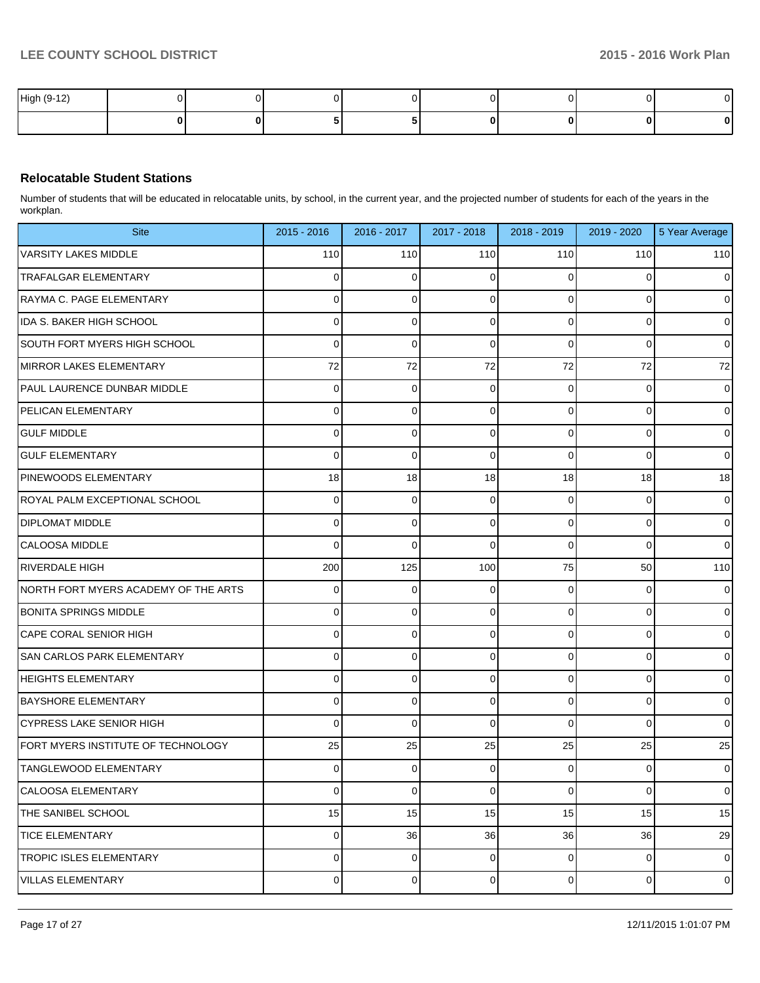| High (9-12) |  |  |  | v  |
|-------------|--|--|--|----|
|             |  |  |  | ΩI |

### **Relocatable Student Stations**

Number of students that will be educated in relocatable units, by school, in the current year, and the projected number of students for each of the years in the workplan.

| <b>Site</b>                          | 2015 - 2016    | 2016 - 2017 | 2017 - 2018 | 2018 - 2019    | 2019 - 2020 | 5 Year Average |
|--------------------------------------|----------------|-------------|-------------|----------------|-------------|----------------|
| <b>VARSITY LAKES MIDDLE</b>          | 110            | 110         | 110         | 110            | 110         | 110            |
| TRAFALGAR ELEMENTARY                 | 0              | 0           | U           | $\Omega$       |             | $\overline{0}$ |
| RAYMA C. PAGE ELEMENTARY             | 0              | 0           | 0           | 0              | 0           | $\overline{0}$ |
| IDA S. BAKER HIGH SCHOOL             | 0              | 0           | 0           | $\Omega$       | $\Omega$    | $\overline{0}$ |
| SOUTH FORT MYERS HIGH SCHOOL         | 0              | 0           | 0           | $\Omega$       | 0           | $\overline{0}$ |
| MIRROR LAKES ELEMENTARY              | 72             | 72          | 72          | 72             | 72          | 72             |
| PAUL LAURENCE DUNBAR MIDDLE          | 0              | 0           | 0           | 0              | 0           | $\overline{0}$ |
| <b>PELICAN ELEMENTARY</b>            | 0              | 0           | 0           | $\Omega$       | 0           | $\overline{0}$ |
| <b>GULF MIDDLE</b>                   | 0              | 0           | 0           | 0              | 0           | $\overline{0}$ |
| <b>GULF ELEMENTARY</b>               | 0              | 0           | $\Omega$    | $\Omega$       | $\Omega$    | $\overline{0}$ |
| <b>PINEWOODS ELEMENTARY</b>          | 18             | 18          | 18          | 18             | 18          | 18             |
| IROYAL PALM EXCEPTIONAL SCHOOL       | 0              | 0           | 0           | $\Omega$       | 0           | $\overline{0}$ |
| <b>DIPLOMAT MIDDLE</b>               | 0              | 0           | 0           | 0              | 0           | $\overline{0}$ |
| <b>ICALOOSA MIDDLE</b>               | 0              | 0           | $\Omega$    | $\Omega$       | $\Omega$    | $\overline{0}$ |
| IRIVERDALE HIGH                      | 200            | 125         | 100         | 75             | 50          | 110            |
| NORTH FORT MYERS ACADEMY OF THE ARTS | 0              | 0           | 0           | $\Omega$       | 0           | $\overline{0}$ |
| <b>BONITA SPRINGS MIDDLE</b>         | 0              | 0           | 0           | 0              | 0           | $\overline{0}$ |
| CAPE CORAL SENIOR HIGH               | 0              | 0           | 0           | $\Omega$       | $\Omega$    | $\overline{0}$ |
| <b>SAN CARLOS PARK ELEMENTARY</b>    | 0              | 0           | 0           | 0              | 0           | $\overline{0}$ |
| <b>HEIGHTS ELEMENTARY</b>            | 0              | 0           | 0           | $\Omega$       | $\Omega$    | $\overline{0}$ |
| <b>BAYSHORE ELEMENTARY</b>           | 0              | 0           | 0           | 0              | 0           | $\overline{0}$ |
| <b>CYPRESS LAKE SENIOR HIGH</b>      | 0              | 0           | $\Omega$    | $\Omega$       | $\Omega$    | $\overline{0}$ |
| FORT MYERS INSTITUTE OF TECHNOLOGY   | 25             | 25          | 25          | 25             | 25          | 25             |
| TANGLEWOOD ELEMENTARY                | $\Omega$       | 0           | 0           | $\Omega$       | 0           | $\overline{0}$ |
| CALOOSA ELEMENTARY                   | $\overline{0}$ | 0           | 0           | $\overline{0}$ | 0           | $\overline{0}$ |
| THE SANIBEL SCHOOL                   | 15             | 15          | 15          | 15             | 15          | 15             |
| <b>TICE ELEMENTARY</b>               | $\overline{0}$ | 36          | 36          | 36             | 36          | 29             |
| TROPIC ISLES ELEMENTARY              | $\overline{0}$ | 0           | 0           | $\overline{0}$ | 0           | $\overline{0}$ |
| <b>VILLAS ELEMENTARY</b>             | $\overline{0}$ | 0           | 0           | $\overline{0}$ | 0           | $\overline{0}$ |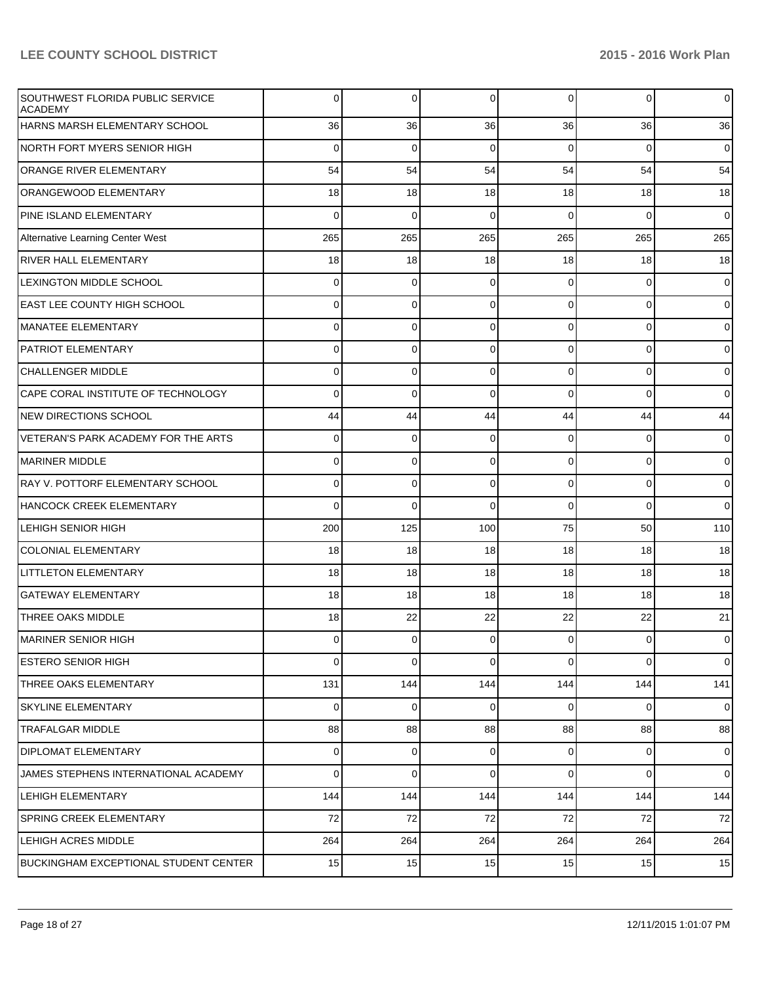| SOUTHWEST FLORIDA PUBLIC SERVICE<br><b>ACADEMY</b> | 0           | 0              | 0           | $\Omega$       | $\overline{0}$ | $\mathbf 0$    |
|----------------------------------------------------|-------------|----------------|-------------|----------------|----------------|----------------|
| HARNS MARSH ELEMENTARY SCHOOL                      | 36          | 36             | 36          | 36             | 36             | 36             |
| NORTH FORT MYERS SENIOR HIGH                       | $\Omega$    | $\mathbf 0$    | 0           | $\Omega$       | $\overline{0}$ | $\mathbf 0$    |
| <b>ORANGE RIVER ELEMENTARY</b>                     | 54          | 54             | 54          | 54             | 54             | 54             |
| <b>ORANGEWOOD ELEMENTARY</b>                       | 18          | 18             | 18          | 18             | 18             | 18             |
| PINE ISLAND ELEMENTARY                             | $\Omega$    | $\mathbf 0$    | $\Omega$    | $\Omega$       | $\overline{0}$ | $\overline{0}$ |
| Alternative Learning Center West                   | 265         | 265            | 265         | 265            | 265            | 265            |
| <b>RIVER HALL ELEMENTARY</b>                       | 18          | 18             | 18          | 18             | 18             | 18             |
| <b>LEXINGTON MIDDLE SCHOOL</b>                     | 0           | 0              | 0           | $\Omega$       | $\overline{0}$ | $\mathbf 0$    |
| EAST LEE COUNTY HIGH SCHOOL                        | 0           | 0              | $\mathbf 0$ | $\Omega$       | $\overline{0}$ | $\mathbf 0$    |
| MANATEE ELEMENTARY                                 | 0           | 0              | $\Omega$    | $\Omega$       | $\overline{0}$ | $\overline{0}$ |
| <b>PATRIOT ELEMENTARY</b>                          | 0           | 0              | $\Omega$    | $\Omega$       | $\overline{0}$ | $\mathbf 0$    |
| <b>CHALLENGER MIDDLE</b>                           | 0           | 0              | $\mathbf 0$ | $\Omega$       | $\overline{0}$ | $\overline{0}$ |
| CAPE CORAL INSTITUTE OF TECHNOLOGY                 | 0           | 0              | $\Omega$    | $\Omega$       | $\overline{0}$ | $\overline{0}$ |
| <b>NEW DIRECTIONS SCHOOL</b>                       | 44          | 44             | 44          | 44             | 44             | 44             |
| VETERAN'S PARK ACADEMY FOR THE ARTS                | 0           | 0              | 0           | $\Omega$       | $\overline{0}$ | $\mathbf 0$    |
| MARINER MIDDLE                                     | 0           | 0              | $\mathbf 0$ | $\Omega$       | $\overline{0}$ | $\mathbf 0$    |
| RAY V. POTTORF ELEMENTARY SCHOOL                   | 0           | 0              | $\Omega$    | $\Omega$       | $\overline{0}$ | $\overline{0}$ |
| HANCOCK CREEK ELEMENTARY                           | 0           | 0              | $\Omega$    | $\Omega$       | $\overline{0}$ | $\overline{0}$ |
| LEHIGH SENIOR HIGH                                 | 200         | 125            | 100         | 75             | 50             | 110            |
| <b>COLONIAL ELEMENTARY</b>                         | 18          | 18             | 18          | 18             | 18             | 18             |
| <b>LITTLETON ELEMENTARY</b>                        | 18          | 18             | 18          | 18             | 18             | 18             |
| <b>GATEWAY ELEMENTARY</b>                          | 18          | 18             | 18          | 18             | 18             | 18             |
| THREE OAKS MIDDLE                                  | 18          | 22             | 22          | 22             | 22             | 21             |
| MARINER SENIOR HIGH                                | 0           | 0              | $\mathbf 0$ | $\overline{0}$ | $\overline{0}$ | $\mathbf 0$    |
| ESTERO SENIOR HIGH                                 | $\mathbf 0$ | 0              | $\Omega$    | $\Omega$       | $\overline{0}$ | $\overline{0}$ |
| THREE OAKS ELEMENTARY                              | 131         | 144            | 144         | 144            | 144            | 141            |
| <b>SKYLINE ELEMENTARY</b>                          | $\mathbf 0$ | 0              | $\mathbf 0$ | $\Omega$       | $\overline{0}$ | $\overline{0}$ |
| <b>TRAFALGAR MIDDLE</b>                            | 88          | 88             | 88          | 88             | 88             | 88             |
| <b>DIPLOMAT ELEMENTARY</b>                         | 0           | $\overline{0}$ | 0           | $\overline{0}$ | $\overline{0}$ | $\mathbf 0$    |
| JAMES STEPHENS INTERNATIONAL ACADEMY               | 0           | 0              | $\Omega$    | $\overline{0}$ | $\overline{0}$ | $\overline{0}$ |
| LEHIGH ELEMENTARY                                  | 144         | 144            | 144         | 144            | 144            | 144            |
| <b>SPRING CREEK ELEMENTARY</b>                     | 72          | 72             | 72          | 72             | 72             | 72             |
| LEHIGH ACRES MIDDLE                                | 264         | 264            | 264         | 264            | 264            | 264            |
| BUCKINGHAM EXCEPTIONAL STUDENT CENTER              | 15          | 15             | 15          | 15             | 15             | 15             |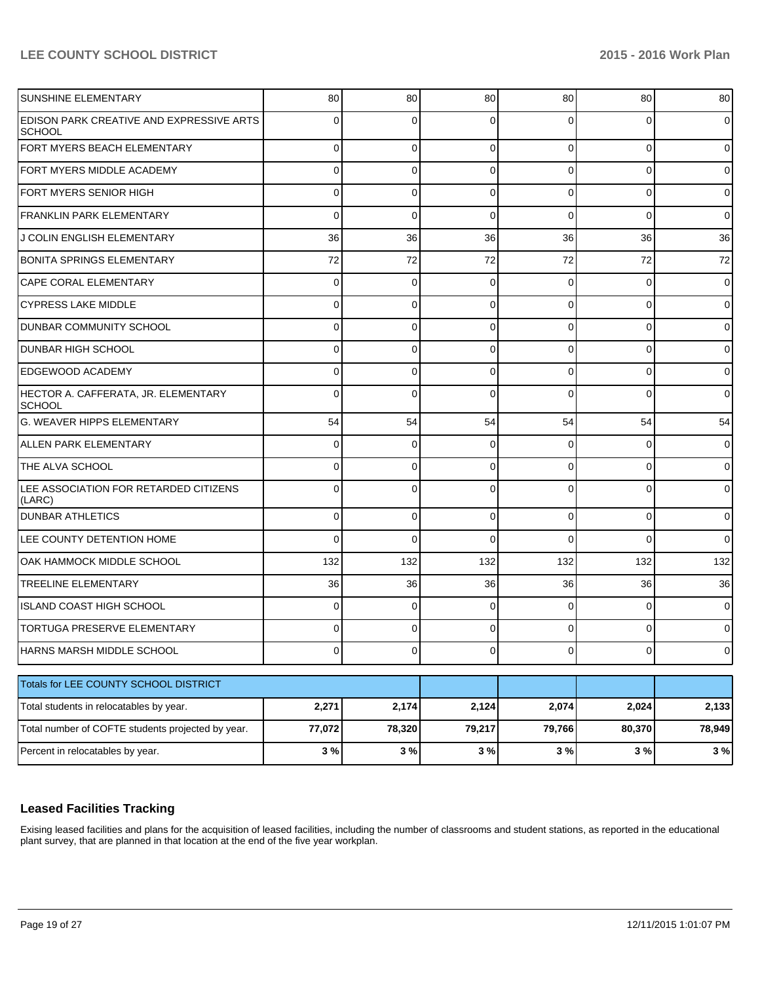| SUNSHINE ELEMENTARY                                              | 80             | 80          | 80             | 80       | 80       | 80      |
|------------------------------------------------------------------|----------------|-------------|----------------|----------|----------|---------|
| <b>EDISON PARK CREATIVE AND EXPRESSIVE ARTS</b><br><b>SCHOOL</b> | 0              | 0           | 0              | ∩        | 0        | 0       |
| FORT MYERS BEACH ELEMENTARY                                      | 0              | 0           | 0              | $\Omega$ | 0        | 0       |
| FORT MYERS MIDDLE ACADEMY                                        | 0              | 0           | $\Omega$       | $\Omega$ | 0        | 0       |
| FORT MYERS SENIOR HIGH                                           | 0              | 0           | 0              | $\Omega$ | 0        | 0       |
| <b>FRANKLIN PARK ELEMENTARY</b>                                  | 0              | $\Omega$    | $\Omega$       | $\Omega$ | $\Omega$ | 0       |
| J COLIN ENGLISH ELEMENTARY                                       | 36             | 36          | 36             | 36       | 36       | 36      |
| <b>BONITA SPRINGS ELEMENTARY</b>                                 | 72             | 72          | 72             | 72       | 72       | 72      |
| <b>CAPE CORAL ELEMENTARY</b>                                     | 0              | 0           | 0              | $\Omega$ | 0        | 0       |
| <b>CYPRESS LAKE MIDDLE</b>                                       | 0              | 0           | 0              | $\Omega$ | 0        | 0       |
| DUNBAR COMMUNITY SCHOOL                                          | 0              | 0           | 0              | $\Omega$ | 0        | 0       |
| <b>DUNBAR HIGH SCHOOL</b>                                        | 0              | 0           | $\Omega$       | $\Omega$ | 0        | 0       |
| <b>EDGEWOOD ACADEMY</b>                                          | 0              | 0           | $\Omega$       | $\Omega$ | 0        | 0       |
| HECTOR A. CAFFERATA, JR. ELEMENTARY<br><b>SCHOOL</b>             | $\Omega$       | $\Omega$    | $\Omega$       | $\Omega$ | $\Omega$ | 0       |
| G. WEAVER HIPPS ELEMENTARY                                       | 54             | 54          | 54             | 54       | 54       | 54      |
| <b>ALLEN PARK ELEMENTARY</b>                                     | 0              | $\mathbf 0$ | 0              | $\Omega$ | 0        | 0       |
| THE ALVA SCHOOL                                                  | 0              | 0           | $\Omega$       | $\Omega$ | 0        | 0       |
| LEE ASSOCIATION FOR RETARDED CITIZENS<br>(LARC)                  | 0              | $\Omega$    | $\Omega$       | $\Omega$ | $\Omega$ | 0       |
| <b>DUNBAR ATHLETICS</b>                                          | 0              | 0           | 0              | $\Omega$ | $\Omega$ | 0       |
| LEE COUNTY DETENTION HOME                                        | 0              | $\Omega$    | $\Omega$       | ∩        | 0        | 0       |
| OAK HAMMOCK MIDDLE SCHOOL                                        | 132            | 132         | 132            | 132      | 132      | 132     |
| <b>TREELINE ELEMENTARY</b>                                       | 36             | 36          | 36             | 36       | 36       | 36      |
| ISLAND COAST HIGH SCHOOL                                         | 0              | $\Omega$    | $\Omega$       | $\Omega$ | 0        | 0       |
| <b>TORTUGA PRESERVE ELEMENTARY</b>                               | 0              | 0           | 0              | $\Omega$ | 0        | 0       |
| HARNS MARSH MIDDLE SCHOOL                                        | $\overline{0}$ | 0           | $\overline{0}$ | 0        | $\circ$  | $\circ$ |
| Totals for LEE COUNTY SCHOOL DISTRICT                            |                |             |                |          |          |         |
| Total students in relocatables by year.                          | 2,271          | 2,174       | 2,124          | 2,074    | 2,024    | 2,133   |
| Total number of COFTE students projected by year.                | 77,072         | 78,320      | 79,217         | 79,766   | 80,370   | 78,949  |
| Percent in relocatables by year.                                 | 3%             | 3 %         | 3%             | 3%       | 3%       | 3%      |

## **Leased Facilities Tracking**

Exising leased facilities and plans for the acquisition of leased facilities, including the number of classrooms and student stations, as reported in the educational plant survey, that are planned in that location at the end of the five year workplan.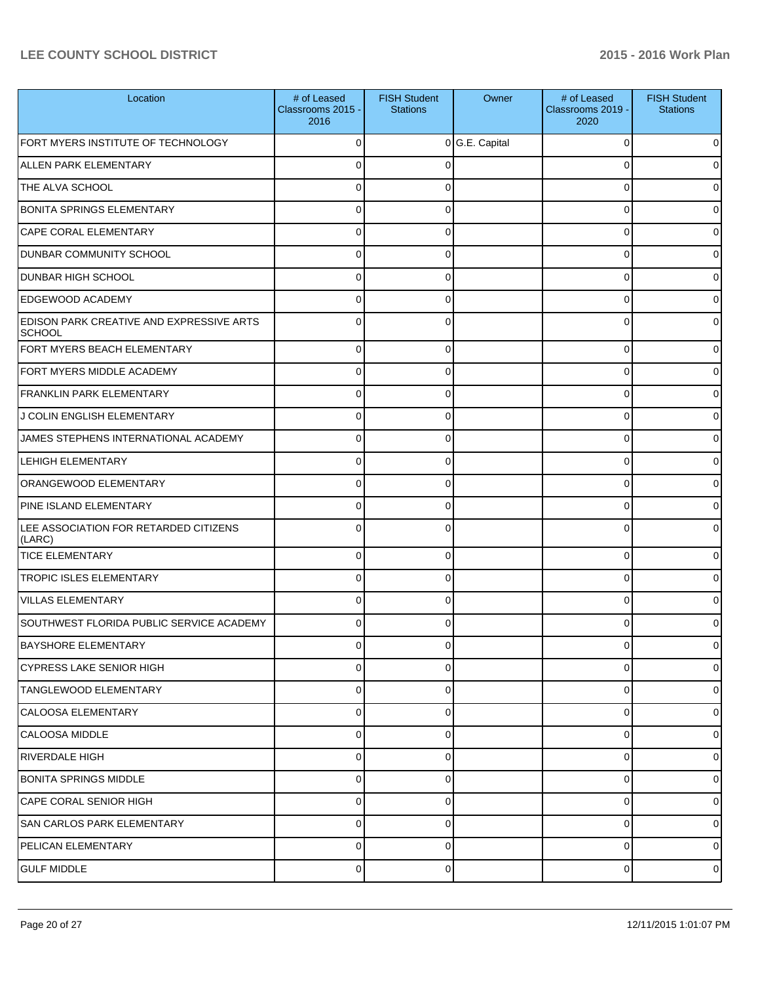| Location                                           | # of Leased<br>Classrooms 2015 -<br>2016 | <b>FISH Student</b><br><b>Stations</b> | Owner        | # of Leased<br>Classrooms 2019 -<br>2020 | <b>FISH Student</b><br><b>Stations</b> |
|----------------------------------------------------|------------------------------------------|----------------------------------------|--------------|------------------------------------------|----------------------------------------|
| FORT MYERS INSTITUTE OF TECHNOLOGY                 | 0                                        | $\mathbf 0$                            | G.E. Capital | 0                                        | 0                                      |
| <b>ALLEN PARK ELEMENTARY</b>                       | 0                                        |                                        |              | 0                                        | 0                                      |
| THE ALVA SCHOOL                                    | 0                                        |                                        |              | $\Omega$                                 | 0                                      |
| <b>BONITA SPRINGS ELEMENTARY</b>                   | 0                                        | ∩                                      |              | 0                                        | 0                                      |
| CAPE CORAL ELEMENTARY                              | 0                                        | U                                      |              | 0                                        | 0                                      |
| <b>DUNBAR COMMUNITY SCHOOL</b>                     | 0                                        | ∩                                      |              | 0                                        | 0                                      |
| <b>DUNBAR HIGH SCHOOL</b>                          | 0                                        | U                                      |              | 0                                        | 0                                      |
| <b>EDGEWOOD ACADEMY</b>                            | 0                                        | ∩                                      |              | 0                                        | 0                                      |
| EDISON PARK CREATIVE AND EXPRESSIVE ARTS<br>SCHOOL | $\Omega$                                 |                                        |              | 0                                        | 0                                      |
| FORT MYERS BEACH ELEMENTARY                        | $\mathbf 0$                              | $\Omega$                               |              | 0                                        | $\overline{0}$                         |
| FORT MYERS MIDDLE ACADEMY                          | $\Omega$                                 | $\mathbf 0$                            |              | 0                                        | $\overline{0}$                         |
| <b>FRANKLIN PARK ELEMENTARY</b>                    | $\Omega$                                 | $\Omega$                               |              | 0                                        | $\overline{0}$                         |
| J COLIN ENGLISH ELEMENTARY                         | 0                                        | $\mathbf 0$                            |              | 0                                        | $\overline{0}$                         |
| JAMES STEPHENS INTERNATIONAL ACADEMY               | $\Omega$                                 | $\Omega$                               |              | 0                                        | $\overline{0}$                         |
| <b>LEHIGH ELEMENTARY</b>                           | $\Omega$                                 | $\mathbf 0$                            |              | 0                                        | $\overline{0}$                         |
| ORANGEWOOD ELEMENTARY                              | $\Omega$                                 | $\Omega$                               |              | 0                                        | $\overline{0}$                         |
| PINE ISLAND ELEMENTARY                             | 0                                        | $\Omega$                               |              | 0                                        | $\overline{0}$                         |
| LEE ASSOCIATION FOR RETARDED CITIZENS<br>(LARC)    | $\Omega$                                 | C                                      |              | $\Omega$                                 | 0                                      |
| <b>TICE ELEMENTARY</b>                             | 0                                        | $\Omega$                               |              | 0                                        | 0                                      |
| <b>TROPIC ISLES ELEMENTARY</b>                     | $\Omega$                                 | $\Omega$                               |              | 0                                        | 0                                      |
| <b>VILLAS ELEMENTARY</b>                           | $\Omega$                                 | $\Omega$                               |              | $\Omega$                                 | 0                                      |
| SOUTHWEST FLORIDA PUBLIC SERVICE ACADEMY           | $\Omega$                                 | $\Omega$                               |              | $\Omega$                                 | 0                                      |
| <b>BAYSHORE ELEMENTARY</b>                         |                                          |                                        |              |                                          |                                        |
| CYPRESS LAKE SENIOR HIGH                           | 0                                        | $\Omega$                               |              | 0                                        | $\overline{0}$                         |
| TANGLEWOOD ELEMENTARY                              | 0                                        | $\Omega$                               |              | 0                                        | $\overline{0}$                         |
| <b>CALOOSA ELEMENTARY</b>                          | 0                                        | 0                                      |              | 0                                        | $\overline{0}$                         |
| <b>CALOOSA MIDDLE</b>                              | $\mathbf 0$                              | $\Omega$                               |              | 0                                        | $\overline{0}$                         |
| <b>RIVERDALE HIGH</b>                              | 0                                        | 0                                      |              | 0                                        | $\overline{0}$                         |
| BONITA SPRINGS MIDDLE                              | 0                                        | $\Omega$                               |              | 0                                        | $\overline{0}$                         |
| <b>CAPE CORAL SENIOR HIGH</b>                      | 0                                        | $\Omega$                               |              | 0                                        | $\overline{0}$                         |
| <b>SAN CARLOS PARK ELEMENTARY</b>                  | $\mathbf 0$                              | $\Omega$                               |              | 0                                        | $\overline{0}$                         |
| PELICAN ELEMENTARY                                 | 0                                        | 0                                      |              | 0                                        | $\overline{0}$                         |
| <b>GULF MIDDLE</b>                                 | $\overline{0}$                           | 0                                      |              | 0                                        | $\circ$                                |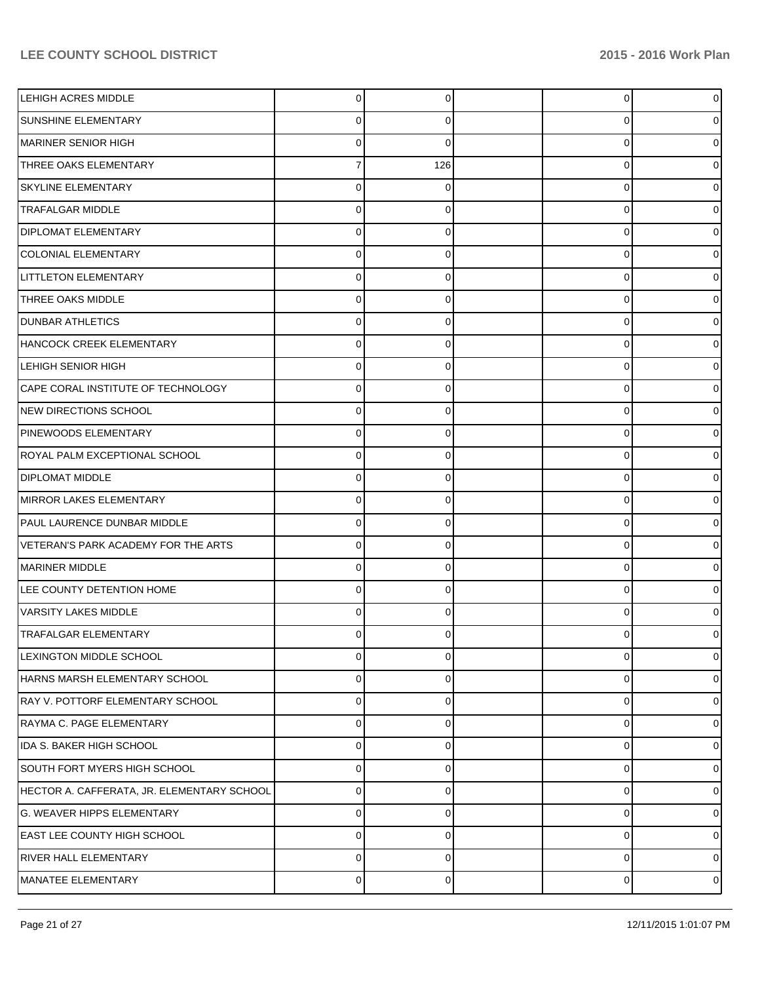| <b>LEHIGH ACRES MIDDLE</b>                 | 0           | 0   | 0        | $\overline{0}$ |
|--------------------------------------------|-------------|-----|----------|----------------|
| <b>SUNSHINE ELEMENTARY</b>                 | 0           | 0   | 0        | 0              |
| MARINER SENIOR HIGH                        | 0           | 0   | 0        | 0              |
| THREE OAKS ELEMENTARY                      |             | 126 | 0        | 0              |
| <b>SKYLINE ELEMENTARY</b>                  | 0           |     | 0        | 0              |
| <b>TRAFALGAR MIDDLE</b>                    | 0           | 0   | 0        | 0              |
| <b>DIPLOMAT ELEMENTARY</b>                 | 0           | 0   | 0        | 0              |
| <b>COLONIAL ELEMENTARY</b>                 | 0           | 0   | 0        | 0              |
| <b>LITTLETON ELEMENTARY</b>                | $\Omega$    | 0   | 0        | 0              |
| THREE OAKS MIDDLE                          | 0           | 0   | 0        | 0              |
| <b>DUNBAR ATHLETICS</b>                    | 0           |     | 0        | 0              |
| HANCOCK CREEK ELEMENTARY                   | 0           | 0   | 0        | 0              |
| <b>LEHIGH SENIOR HIGH</b>                  | $\Omega$    | 0   | 0        | 0              |
| CAPE CORAL INSTITUTE OF TECHNOLOGY         | $\Omega$    | 0   | 0        | 01             |
| NEW DIRECTIONS SCHOOL                      | 0           | 0   | 0        | 0              |
| PINEWOODS ELEMENTARY                       | 0           | 0   | 0        | 0              |
| ROYAL PALM EXCEPTIONAL SCHOOL              | 0           |     | 0        | 0              |
| <b>DIPLOMAT MIDDLE</b>                     | $\Omega$    | 0   | $\Omega$ | 0              |
| MIRROR LAKES ELEMENTARY                    | 0           | 0   | 0        | 0              |
| PAUL LAURENCE DUNBAR MIDDLE                | 0           | 0   | 0        | 0              |
| VETERAN'S PARK ACADEMY FOR THE ARTS        | 0           |     | 0        | 0              |
| MARINER MIDDLE                             | 0           | 0   | 0        | 0              |
| LEE COUNTY DETENTION HOME                  | 0           | 0   | 0        | 0              |
| VARSITY LAKES MIDDLE                       | 0           | 0   | 0        | 0              |
| <b>TRAFALGAR ELEMENTARY</b>                | 0           | 0   | U        | 0              |
| LEXINGTON MIDDLE SCHOOL                    | 0           | 0   | 0        | $\overline{0}$ |
| HARNS MARSH ELEMENTARY SCHOOL              | 0           | 0   | 0        | 01             |
| RAY V. POTTORF ELEMENTARY SCHOOL           | 0           | 0   | 0        | 0              |
| RAYMA C. PAGE ELEMENTARY                   | 0           | 0   | 0        | 0              |
| IDA S. BAKER HIGH SCHOOL                   | 0           | 0   | 0        | 0              |
| SOUTH FORT MYERS HIGH SCHOOL               | $\mathbf 0$ | 0   | 0        | 01             |
| HECTOR A. CAFFERATA, JR. ELEMENTARY SCHOOL | 0           | 0   | 0        | 01             |
| G. WEAVER HIPPS ELEMENTARY                 | $\mathbf 0$ | 0   | 0        | 0              |
| EAST LEE COUNTY HIGH SCHOOL                | 0           | 0   | 0        | 0              |
| <b>RIVER HALL ELEMENTARY</b>               | $\mathbf 0$ | 0   | 0        | $\overline{0}$ |
| MANATEE ELEMENTARY                         | 0           | 0   | 0        | $\circ$        |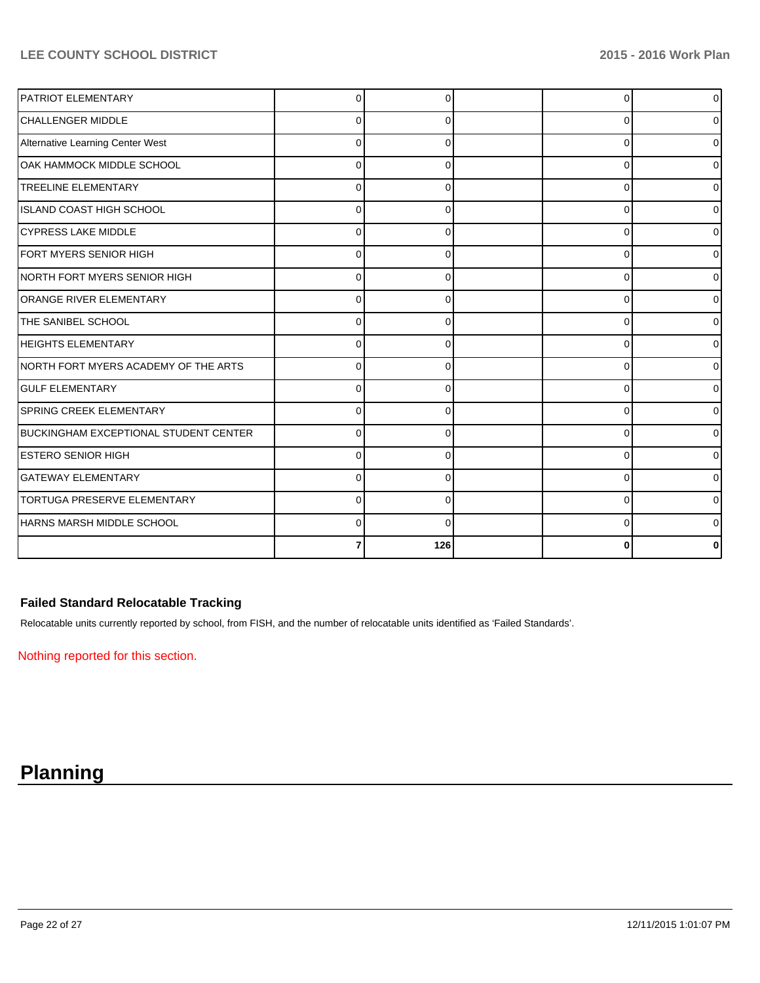| PATRIOT ELEMENTARY                    | 0            |          | $\Omega$ | $\overline{0}$ |
|---------------------------------------|--------------|----------|----------|----------------|
| <b>CHALLENGER MIDDLE</b>              | 0            | 0        | $\Omega$ | $\overline{0}$ |
| Alternative Learning Center West      | $\Omega$     | 0        | 0        | $\overline{0}$ |
| OAK HAMMOCK MIDDLE SCHOOL             | 0            | 0        | 0        | 01             |
| <b>TREELINE ELEMENTARY</b>            | <sup>0</sup> |          | $\Omega$ | $\Omega$       |
| IISLAND COAST HIGH SCHOOL             | <sup>0</sup> |          | 0        | 01             |
| <b>CYPRESS LAKE MIDDLE</b>            | 0            | $\Omega$ | 0        | 01             |
| FORT MYERS SENIOR HIGH                | 0            | 0        | $\Omega$ | 01             |
| INORTH FORT MYERS SENIOR HIGH         | 0            |          | 0        | $\overline{0}$ |
| ORANGE RIVER ELEMENTARY               | <sup>0</sup> |          | 0        | $\overline{0}$ |
| THE SANIBEL SCHOOL                    | $\Omega$     | O        | $\Omega$ | $\overline{0}$ |
| <b>HEIGHTS ELEMENTARY</b>             | $\Omega$     | 0        | $\Omega$ | ٥I             |
| INORTH FORT MYERS ACADEMY OF THE ARTS | $\Omega$     | 0        | 0        | 01             |
| <b>IGULF ELEMENTARY</b>               |              |          | 0        | 01             |
| <b>SPRING CREEK ELEMENTARY</b>        | U            |          | $\Omega$ | 01             |
| BUCKINGHAM EXCEPTIONAL STUDENT CENTER | $\Omega$     | ∩        | $\Omega$ | 01             |
| <b>ESTERO SENIOR HIGH</b>             | $\Omega$     | $\Omega$ | 0        | 01             |
| <b>GATEWAY ELEMENTARY</b>             | 0            | 0        | 0        | $\overline{0}$ |
| <b>TORTUGA PRESERVE ELEMENTARY</b>    | <sup>0</sup> |          | $\Omega$ | 0              |
| HARNS MARSH MIDDLE SCHOOL             | $\Omega$     |          | O        | 01             |
|                                       |              | 126      | ŋ        | 0              |

# **Failed Standard Relocatable Tracking**

Relocatable units currently reported by school, from FISH, and the number of relocatable units identified as 'Failed Standards'.

Nothing reported for this section.

# **Planning**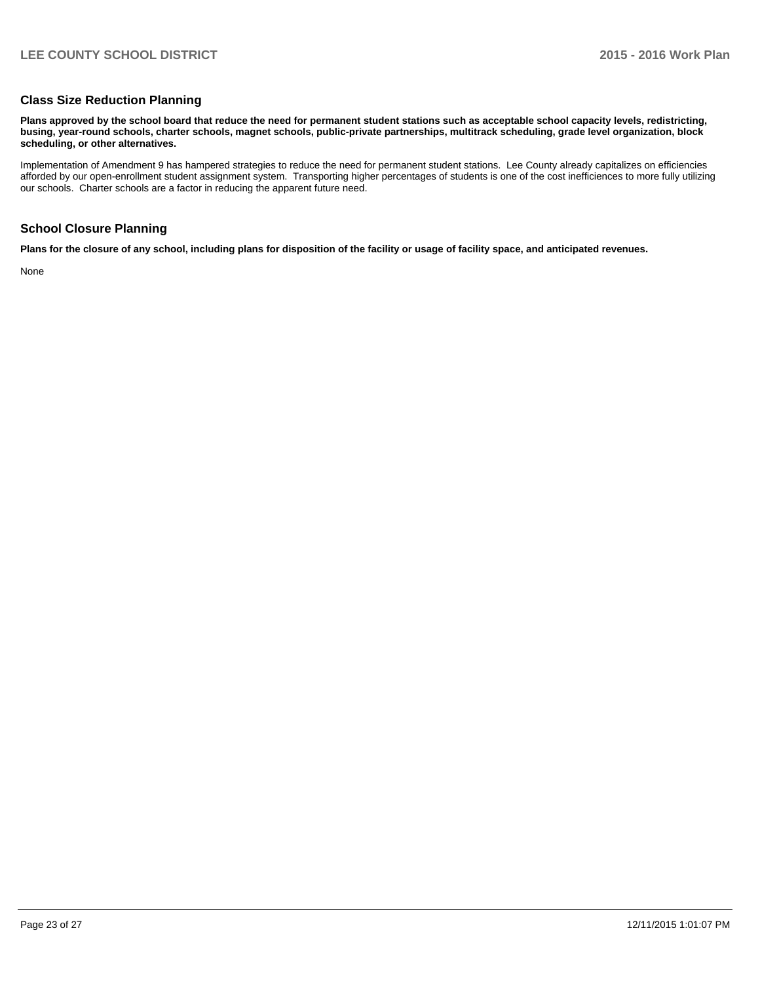#### **Class Size Reduction Planning**

**Plans approved by the school board that reduce the need for permanent student stations such as acceptable school capacity levels, redistricting, busing, year-round schools, charter schools, magnet schools, public-private partnerships, multitrack scheduling, grade level organization, block scheduling, or other alternatives.**

Implementation of Amendment 9 has hampered strategies to reduce the need for permanent student stations. Lee County already capitalizes on efficiencies afforded by our open-enrollment student assignment system. Transporting higher percentages of students is one of the cost inefficiences to more fully utilizing our schools. Charter schools are a factor in reducing the apparent future need.

### **School Closure Planning**

**Plans for the closure of any school, including plans for disposition of the facility or usage of facility space, and anticipated revenues.**

None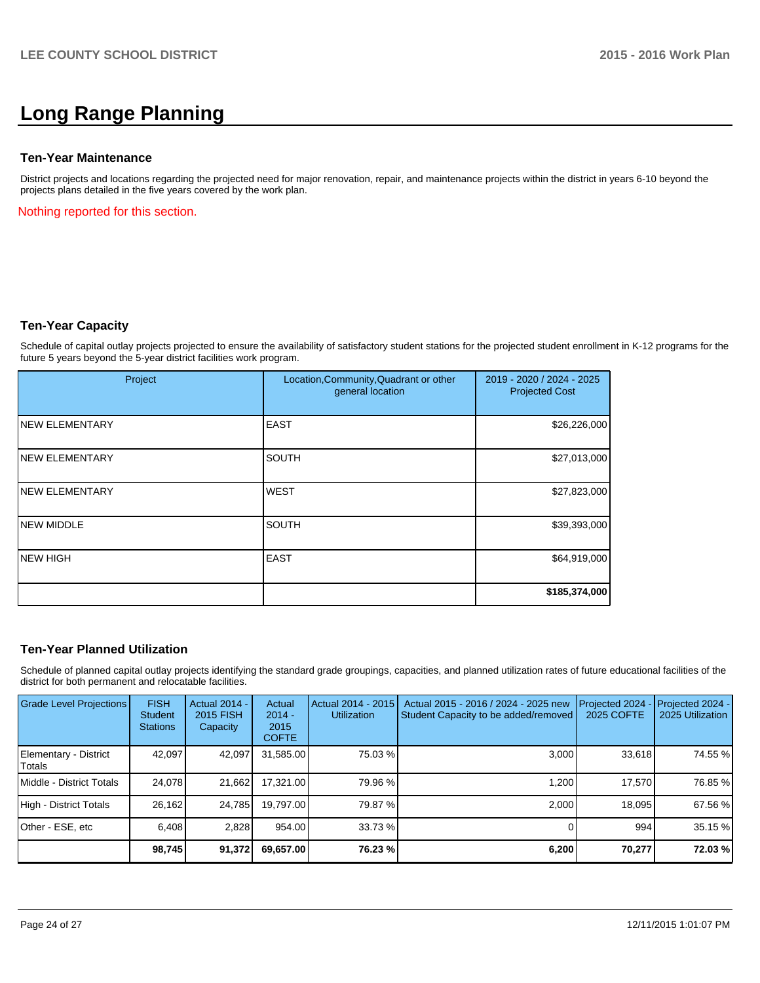# **Long Range Planning**

#### **Ten-Year Maintenance**

District projects and locations regarding the projected need for major renovation, repair, and maintenance projects within the district in years 6-10 beyond the projects plans detailed in the five years covered by the work plan.

Nothing reported for this section.

#### **Ten-Year Capacity**

Schedule of capital outlay projects projected to ensure the availability of satisfactory student stations for the projected student enrollment in K-12 programs for the future 5 years beyond the 5-year district facilities work program.

| Project                | Location, Community, Quadrant or other<br>general location | 2019 - 2020 / 2024 - 2025<br><b>Projected Cost</b> |  |
|------------------------|------------------------------------------------------------|----------------------------------------------------|--|
| <b>INEW ELEMENTARY</b> | <b>EAST</b>                                                | \$26,226,000                                       |  |
| <b>INEW ELEMENTARY</b> | <b>SOUTH</b>                                               | \$27,013,000                                       |  |
| <b>INEW ELEMENTARY</b> | <b>WEST</b>                                                | \$27,823,000                                       |  |
| <b>INEW MIDDLE</b>     | SOUTH                                                      | \$39,393,000                                       |  |
| NEW HIGH               | <b>EAST</b>                                                | \$64,919,000                                       |  |
|                        |                                                            | \$185,374,000                                      |  |

## **Ten-Year Planned Utilization**

Schedule of planned capital outlay projects identifying the standard grade groupings, capacities, and planned utilization rates of future educational facilities of the district for both permanent and relocatable facilities.

| Grade Level Projections         | <b>FISH</b><br><b>Student</b><br><b>Stations</b> | <b>Actual 2014 -</b><br>2015 FISH<br>Capacity | Actual<br>$2014 -$<br>2015<br><b>COFTE</b> | Actual 2014 - 2015<br><b>Utilization</b> | Actual 2015 - 2016 / 2024 - 2025 new<br>Student Capacity to be added/removed | Projected 2024<br>2025 COFTE | Projected 2024 -<br>2025 Utilization |
|---------------------------------|--------------------------------------------------|-----------------------------------------------|--------------------------------------------|------------------------------------------|------------------------------------------------------------------------------|------------------------------|--------------------------------------|
| Elementary - District<br>Totals | 42.097                                           | 42,097                                        | 31,585.00                                  | 75.03 %                                  | 3,000                                                                        | 33,618                       | 74.55 %                              |
| Middle - District Totals        | 24.078                                           | 21,662                                        | 17.321.00                                  | 79.96 %                                  | 1.200                                                                        | 17.570                       | 76.85 %                              |
| High - District Totals          | 26.162                                           | 24.785                                        | 19.797.00                                  | 79.87 %                                  | 2.000                                                                        | 18.095                       | 67.56 %                              |
| Other - ESE, etc                | 6.408                                            | 2,828                                         | 954.00                                     | 33.73 %                                  |                                                                              | 994                          | 35.15 %                              |
|                                 | 98,745                                           | 91,372                                        | 69,657.00                                  | 76.23 %                                  | 6,200                                                                        | 70,277                       | 72.03 %                              |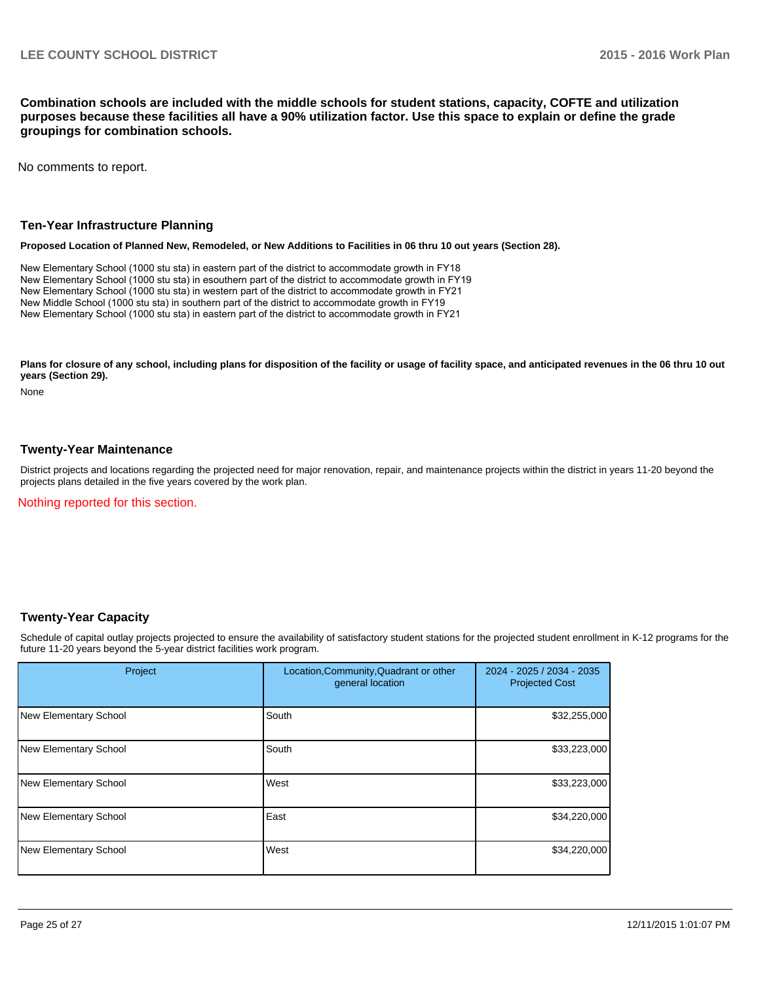**Combination schools are included with the middle schools for student stations, capacity, COFTE and utilization purposes because these facilities all have a 90% utilization factor. Use this space to explain or define the grade groupings for combination schools.**

No comments to report.

#### **Ten-Year Infrastructure Planning**

#### **Proposed Location of Planned New, Remodeled, or New Additions to Facilities in 06 thru 10 out years (Section 28).**

New Elementary School (1000 stu sta) in eastern part of the district to accommodate growth in FY18 New Elementary School (1000 stu sta) in esouthern part of the district to accommodate growth in FY19 New Elementary School (1000 stu sta) in western part of the district to accommodate growth in FY21 New Middle School (1000 stu sta) in southern part of the district to accommodate growth in FY19 New Elementary School (1000 stu sta) in eastern part of the district to accommodate growth in FY21

Plans for closure of any school, including plans for disposition of the facility or usage of facility space, and anticipated revenues in the 06 thru 10 out **years (Section 29).**

None

#### **Twenty-Year Maintenance**

District projects and locations regarding the projected need for major renovation, repair, and maintenance projects within the district in years 11-20 beyond the projects plans detailed in the five years covered by the work plan.

Nothing reported for this section.

#### **Twenty-Year Capacity**

Schedule of capital outlay projects projected to ensure the availability of satisfactory student stations for the projected student enrollment in K-12 programs for the future 11-20 years beyond the 5-year district facilities work program.

| Project               | Location, Community, Quadrant or other<br>general location | 2024 - 2025 / 2034 - 2035<br><b>Projected Cost</b> |
|-----------------------|------------------------------------------------------------|----------------------------------------------------|
| New Elementary School | South                                                      | \$32,255,000                                       |
| New Elementary School | South                                                      | \$33,223,000                                       |
| New Elementary School | West                                                       | \$33,223,000                                       |
| New Elementary School | East                                                       | \$34,220,000                                       |
| New Elementary School | West                                                       | \$34,220,000                                       |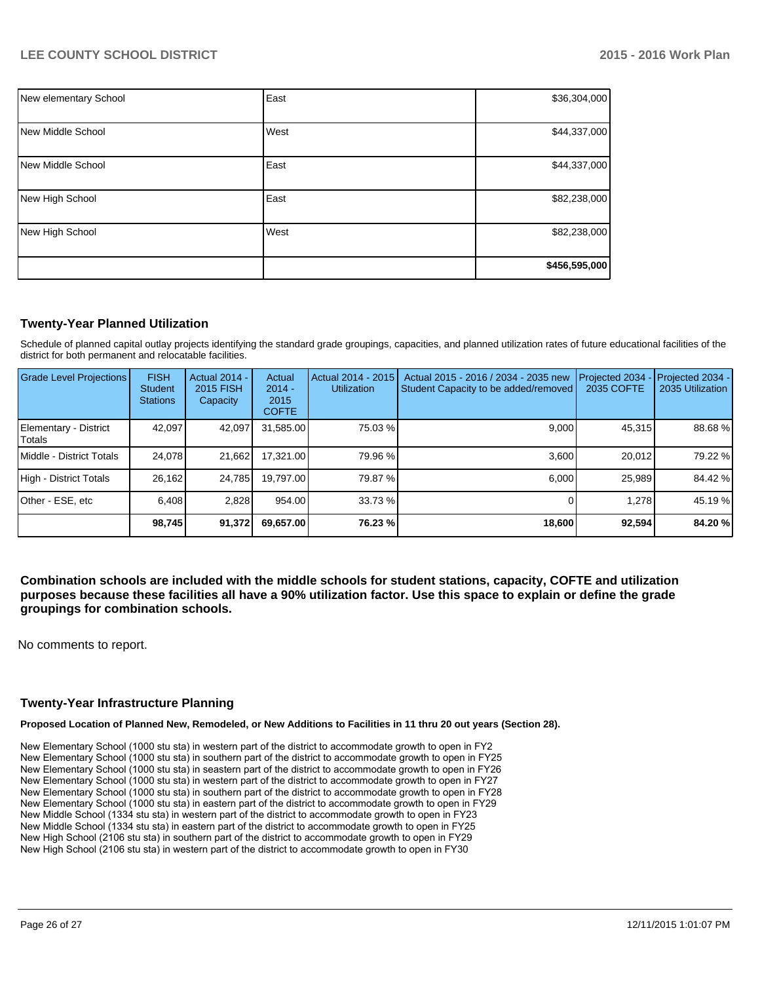| New elementary School | East | \$36,304,000  |
|-----------------------|------|---------------|
| New Middle School     | West | \$44,337,000  |
| New Middle School     | East | \$44,337,000  |
| New High School       | East | \$82,238,000  |
| New High School       | West | \$82,238,000  |
|                       |      | \$456,595,000 |

# **Twenty-Year Planned Utilization**

Schedule of planned capital outlay projects identifying the standard grade groupings, capacities, and planned utilization rates of future educational facilities of the district for both permanent and relocatable facilities.

| Grade Level Projections         | <b>FISH</b><br><b>Student</b><br><b>Stations</b> | <b>Actual 2014 -</b><br>2015 FISH<br>Capacity | Actual<br>$2014 -$<br>2015<br><b>COFTE</b> | Actual 2014 - 2015<br><b>Utilization</b> | Actual 2015 - 2016 / 2034 - 2035 new<br>Student Capacity to be added/removed | Projected 2034<br>2035 COFTE | Projected 2034 -<br>2035 Utilization |
|---------------------------------|--------------------------------------------------|-----------------------------------------------|--------------------------------------------|------------------------------------------|------------------------------------------------------------------------------|------------------------------|--------------------------------------|
| Elementary - District<br>Totals | 42,097                                           | 42,097                                        | 31,585.00                                  | 75.03 %                                  | 9,000                                                                        | 45,315                       | 88.68%                               |
| Middle - District Totals        | 24.078                                           | 21,662                                        | 17,321.00                                  | 79.96 %                                  | 3.600                                                                        | 20.012                       | 79.22 %                              |
| High - District Totals          | 26,162                                           | 24.785                                        | 19.797.00                                  | 79.87 %                                  | 6.000                                                                        | 25.989                       | 84.42 %                              |
| Other - ESE, etc                | 6.408                                            | 2,828                                         | 954.00                                     | 33.73 %                                  |                                                                              | 1.278                        | 45.19 %                              |
|                                 | 98,745                                           | 91,372                                        | 69,657.00                                  | 76.23 %                                  | 18,600                                                                       | 92,594                       | 84.20%                               |

**Combination schools are included with the middle schools for student stations, capacity, COFTE and utilization purposes because these facilities all have a 90% utilization factor. Use this space to explain or define the grade groupings for combination schools.**

No comments to report.

#### **Twenty-Year Infrastructure Planning**

**Proposed Location of Planned New, Remodeled, or New Additions to Facilities in 11 thru 20 out years (Section 28).**

New Elementary School (1000 stu sta) in western part of the district to accommodate growth to open in FY2 New Elementary School (1000 stu sta) in southern part of the district to accommodate growth to open in FY25 New Elementary School (1000 stu sta) in seastern part of the district to accommodate growth to open in FY26 New Elementary School (1000 stu sta) in western part of the district to accommodate growth to open in FY27 New Elementary School (1000 stu sta) in southern part of the district to accommodate growth to open in FY28 New Elementary School (1000 stu sta) in eastern part of the district to accommodate growth to open in FY29 New Middle School (1334 stu sta) in western part of the district to accommodate growth to open in FY23 New Middle School (1334 stu sta) in eastern part of the district to accommodate growth to open in FY25 New High School (2106 stu sta) in southern part of the district to accommodate growth to open in FY29 New High School (2106 stu sta) in western part of the district to accommodate growth to open in FY30